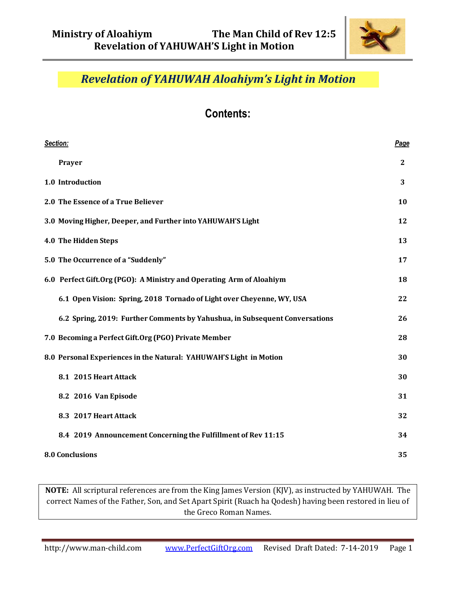

## *Revelation of YAHUWAH Aloahiym's Light in Motion*

## **Contents:**

| Section:                                                                    | Page |
|-----------------------------------------------------------------------------|------|
| Prayer                                                                      | 2    |
| 1.0 Introduction                                                            | 3    |
| 2.0 The Essence of a True Believer                                          | 10   |
| 3.0 Moving Higher, Deeper, and Further into YAHUWAH'S Light                 | 12   |
| 4.0 The Hidden Steps                                                        | 13   |
| 5.0 The Occurrence of a "Suddenly"                                          | 17   |
| 6.0 Perfect Gift.Org (PGO): A Ministry and Operating Arm of Aloahiym        | 18   |
| 6.1 Open Vision: Spring, 2018 Tornado of Light over Cheyenne, WY, USA       | 22   |
| 6.2 Spring, 2019: Further Comments by Yahushua, in Subsequent Conversations | 26   |
| 7.0 Becoming a Perfect Gift.Org (PGO) Private Member                        | 28   |
| 8.0 Personal Experiences in the Natural: YAHUWAH'S Light in Motion          | 30   |
| 8.1 2015 Heart Attack                                                       | 30   |
| 8.2 2016 Van Episode                                                        | 31   |
| 8.3 2017 Heart Attack                                                       | 32   |
| 8.4 2019 Announcement Concerning the Fulfillment of Rev 11:15               | 34   |
| <b>8.0 Conclusions</b>                                                      | 35   |

**NOTE:** All scriptural references are from the King James Version (KJV), as instructed by YAHUWAH. The correct Names of the Father, Son, and Set Apart Spirit (Ruach ha Qodesh) having been restored in lieu of the Greco Roman Names.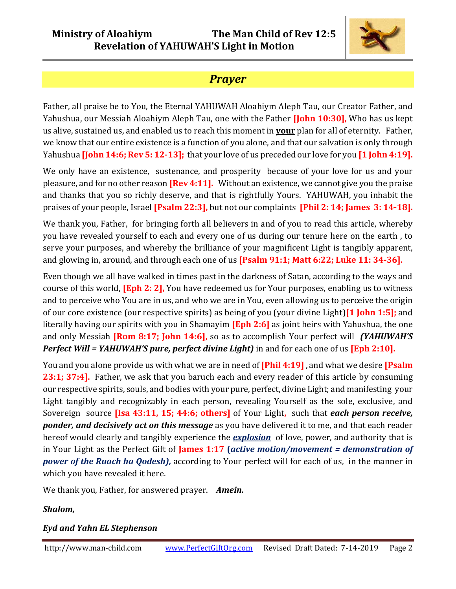## **Ministry of Aloahiym The Man Child of Rev 12:5 Revelation of YAHUWAH'S Light in Motion**



## *Prayer*

Father, all praise be to You, the Eternal YAHUWAH Aloahiym Aleph Tau, our Creator Father, and Yahushua, our Messiah Aloahiym Aleph Tau, one with the Father **[John 10:30],** Who has us kept us alive, sustained us, and enabled us to reach this moment in **your** plan for all of eternity. Father, we know that our entire existence is a function of you alone, and that our salvation is only through Yahushua **[John 14:6; Rev 5: 12-13];** that your love of us preceded our love for you **[1 John 4:19].**

We only have an existence, sustenance, and prosperity because of your love for us and your pleasure, and for no other reason **[Rev 4:11].** Without an existence, we cannot give you the praise and thanks that you so richly deserve, and that is rightfully Yours. YAHUWAH, you inhabit the praises of your people, Israel **[Psalm 22:3],** but not our complaints **[Phil 2: 14; James 3: 14-18].** 

We thank you, Father, for bringing forth all believers in and of you to read this article, whereby you have revealed yourself to each and every one of us during our tenure here on the earth , to serve your purposes, and whereby the brilliance of your magnificent Light is tangibly apparent, and glowing in, around, and through each one of us **[Psalm 91:1; Matt 6:22; Luke 11: 34-36].**

Even though we all have walked in times past in the darkness of Satan, according to the ways and course of this world, **[Eph 2: 2],** You have redeemed us for Your purposes, enabling us to witness and to perceive who You are in us, and who we are in You, even allowing us to perceive the origin of our core existence (our respective spirits) as being of you (your divine Light)**[1 John 1:5];** and literally having our spirits with you in Shamayim **[Eph 2:6]** as joint heirs with Yahushua, the one and only Messiah **[Rom 8:17; John 14:6],** so as to accomplish Your perfect will *(YAHUWAH'S Perfect Will = YAHUWAH'S pure, perfect divine Light)* in and for each one of us **[Eph 2:10].** 

You and you alone provide us with what we are in need of **[Phil 4:19]** , and what we desire **[Psalm 23:1; 37:4].** Father, we ask that you baruch each and every reader of this article by consuming our respective spirits, souls, and bodies with your pure, perfect, divine Light; and manifesting your Light tangibly and recognizably in each person, revealing Yourself as the sole, exclusive, and Sovereign source **[Isa 43:11, 15; 44:6; others]** of Your Light**,** such that *each person receive, ponder, and decisively act on this message* as you have delivered it to me, and that each reader hereof would clearly and tangibly experience the *explosion*of love, power, and authority that is in Your Light as the Perfect Gift of **James 1:17 (***active motion/movement = demonstration of power of the Ruach ha Qodesh),* according to Your perfect will for each of us, in the manner in which you have revealed it here.

We thank you, Father, for answered prayer. *Amein.* 

### *Shalom,*

### *Eyd and Yahn EL Stephenson*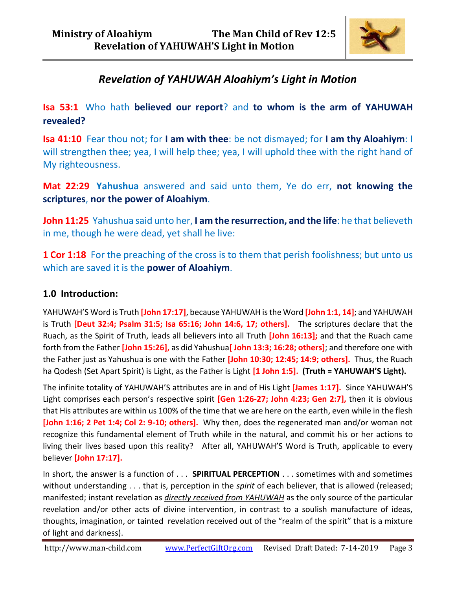

## *Revelation of YAHUWAH Aloahiym's Light in Motion*

## **Isa 53:1** Who hath **believed our report**? and **to whom is the arm of YAHUWAH revealed?**

**Isa 41:10** Fear thou not; for **I am with thee**: be not dismayed; for **I am thy Aloahiym**: I will strengthen thee; yea, I will help thee; yea, I will uphold thee with the right hand of My righteousness.

**Mat 22:29 Yahushua** answered and said unto them, Ye do err, **not knowing the scriptures**, **nor the power of Aloahiym**.

**John 11:25** Yahushua said unto her, **I am the resurrection, and the life**: he that believeth in me, though he were dead, yet shall he live:

**1 Cor 1:18** For the preaching of the cross is to them that perish foolishness; but unto us which are saved it is the **power of Aloahiym**.

### **1.0 Introduction:**

YAHUWAH'S Word is Truth **[John 17:17]**, because YAHUWAH is the Word **[John 1:1, 14]**; and YAHUWAH is Truth **[Deut 32:4; Psalm 31:5; Isa 65:16; John 14:6, 17; others].** The scriptures declare that the Ruach, as the Spirit of Truth, leads all believers into all Truth **[John 16:13];** and that the Ruach came forth from the Father **[John 15:26],** as did Yahushua**[ John 13:3; 16:28; others]**; and therefore one with the Father just as Yahushua is one with the Father **[John 10:30; 12:45; 14:9; others].** Thus, the Ruach ha Qodesh (Set Apart Spirit) is Light, as the Father is Light **[1 John 1:5]. (Truth = YAHUWAH'S Light).**

The infinite totality of YAHUWAH'S attributes are in and of His Light **[James 1:17].** Since YAHUWAH'S Light comprises each person's respective spirit **[Gen 1:26-27; John 4:23; Gen 2:7],** then it is obvious that His attributes are within us 100% of the time that we are here on the earth, even while in the flesh **[John 1:16; 2 Pet 1:4; Col 2: 9-10; others].** Why then, does the regenerated man and/or woman not recognize this fundamental element of Truth while in the natural, and commit his or her actions to living their lives based upon this reality? After all, YAHUWAH'S Word is Truth, applicable to every believer **[John 17:17].**

In short, the answer is a function of . . . **SPIRITUAL PERCEPTION** . . . sometimes with and sometimes without understanding . . . that is, perception in the *spirit* of each believer, that is allowed (released; manifested; instant revelation as *directly received from YAHUWAH* as the only source of the particular revelation and/or other acts of divine intervention, in contrast to a soulish manufacture of ideas, thoughts, imagination, or tainted revelation received out of the "realm of the spirit" that is a mixture of light and darkness).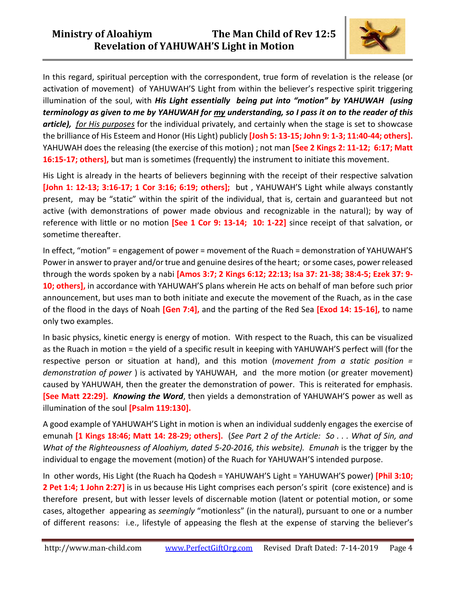

In this regard, spiritual perception with the correspondent, true form of revelation is the release (or activation of movement) of YAHUWAH'S Light from within the believer's respective spirit triggering illumination of the soul, with *His Light essentially being put into "motion" by YAHUWAH (using terminology as given to me by YAHUWAH for my understanding, so I pass it on to the reader of this article), for His purposes* for the individual privately, and certainly when the stage is set to showcase the brilliance of His Esteem and Honor (His Light) publicly **[Josh 5: 13-15; John 9: 1-3; 11:40-44; others].** YAHUWAH does the releasing (the exercise of this motion) ; not man **[See 2 Kings 2: 11-12; 6:17; Matt 16:15-17; others],** but man is sometimes (frequently) the instrument to initiate this movement.

His Light is already in the hearts of believers beginning with the receipt of their respective salvation **[John 1: 12-13; 3:16-17; 1 Cor 3:16; 6:19; others];** but , YAHUWAH'S Light while always constantly present, may be "static" within the spirit of the individual, that is, certain and guaranteed but not active (with demonstrations of power made obvious and recognizable in the natural); by way of reference with little or no motion **[See 1 Cor 9: 13-14; 10: 1-22]** since receipt of that salvation, or sometime thereafter.

In effect, "motion" = engagement of power = movement of the Ruach = demonstration of YAHUWAH'S Power in answer to prayer and/or true and genuine desires of the heart; or some cases, power released through the words spoken by a nabi **[Amos 3:7; 2 Kings 6:12; 22:13; Isa 37: 21-38; 38:4-5; Ezek 37: 9- 10; others],** in accordance with YAHUWAH'S plans wherein He acts on behalf of man before such prior announcement, but uses man to both initiate and execute the movement of the Ruach, as in the case of the flood in the days of Noah **[Gen 7:4],** and the parting of the Red Sea **[Exod 14: 15-16],** to name only two examples.

In basic physics, kinetic energy is energy of motion. With respect to the Ruach, this can be visualized as the Ruach in motion = the yield of a specific result in keeping with YAHUWAH'S perfect will (for the respective person or situation at hand), and this motion (*movement from a static position = demonstration of power* ) is activated by YAHUWAH, and the more motion (or greater movement) caused by YAHUWAH, then the greater the demonstration of power. This is reiterated for emphasis. **[See Matt 22:29].** *Knowing the Word*, then yields a demonstration of YAHUWAH'S power as well as illumination of the soul **[Psalm 119:130].** 

A good example of YAHUWAH'S Light in motion is when an individual suddenly engages the exercise of emunah **[1 Kings 18:46; Matt 14: 28-29; others].** (*See Part 2 of the Article: So . . . What of Sin, and What of the Righteousness of Aloahiym, dated 5-20-2016, this website). Emunah* is the trigger by the individual to engage the movement (motion) of the Ruach for YAHUWAH'S intended purpose.

In other words, His Light (the Ruach ha Qodesh = YAHUWAH'S Light = YAHUWAH'S power) **[Phil 3:10;**  2 Pet 1:4; 1 John 2:27] is in us because His Light comprises each person's spirit (core existence) and is therefore present, but with lesser levels of discernable motion (latent or potential motion, or some cases, altogether appearing as *seemingly* "motionless" (in the natural), pursuant to one or a number of different reasons: i.e., lifestyle of appeasing the flesh at the expense of starving the believer's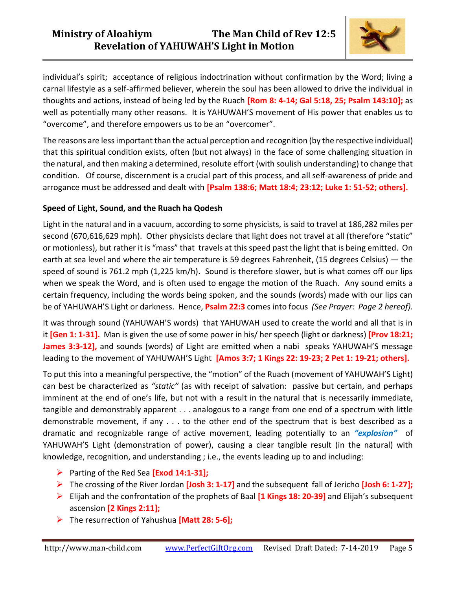## **Ministry of Aloahiym The Man Child of Rev 12:5 Revelation of YAHUWAH'S Light in Motion**



individual's spirit; acceptance of religious indoctrination without confirmation by the Word; living a carnal lifestyle as a self-affirmed believer, wherein the soul has been allowed to drive the individual in thoughts and actions, instead of being led by the Ruach **[Rom 8: 4-14; Gal 5:18, 25; Psalm 143:10];** as well as potentially many other reasons. It is YAHUWAH'S movement of His power that enables us to "overcome", and therefore empowers us to be an "overcomer".

The reasons are less important than the actual perception and recognition (by the respective individual) that this spiritual condition exists, often (but not always) in the face of some challenging situation in the natural, and then making a determined, resolute effort (with soulish understanding) to change that condition. Of course, discernment is a crucial part of this process, and all self-awareness of pride and arrogance must be addressed and dealt with **[Psalm 138:6; Matt 18:4; 23:12; Luke 1: 51-52; others].** 

### **Speed of Light, Sound, and the Ruach ha Qodesh**

Light in the natural and in a vacuum, according to some physicists, is said to travel at 186,282 miles per second (670,616,629 mph). Other physicists declare that light does not travel at all (therefore "static" or motionless), but rather it is "mass" that travels at this speed past the light that is being emitted. On earth at sea level and where the air temperature is 59 degrees Fahrenheit, (15 degrees Celsius) — the speed of sound is 761.2 mph (1,225 km/h). Sound is therefore slower, but is what comes off our lips when we speak the Word, and is often used to engage the motion of the Ruach. Any sound emits a certain frequency, including the words being spoken, and the sounds (words) made with our lips can be of YAHUWAH'S Light or darkness. Hence, **Psalm 22:3** comes into focus *(See Prayer: Page 2 hereof).*

It was through sound (YAHUWAH'S words) that YAHUWAH used to create the world and all that is in it **[Gen 1: 1-31].** Man is given the use of some power in his/ her speech (light or darkness) **[Prov 18:21; James 3:3-12],** and sounds (words) of Light are emitted when a nabi speaks YAHUWAH'S message leading to the movement of YAHUWAH'S Light **[Amos 3:7; 1 Kings 22: 19-23; 2 Pet 1: 19-21; others].**

To put this into a meaningful perspective, the "motion" of the Ruach (movement of YAHUWAH'S Light) can best be characterized as *"static"* (as with receipt of salvation: passive but certain, and perhaps imminent at the end of one's life, but not with a result in the natural that is necessarily immediate, tangible and demonstrably apparent . . . analogous to a range from one end of a spectrum with little demonstrable movement, if any . . . to the other end of the spectrum that is best described as a dramatic and recognizable range of active movement, leading potentially to an *"explosion"* of YAHUWAH'S Light (demonstration of power), causing a clear tangible result (in the natural) with knowledge, recognition, and understanding ; i.e., the events leading up to and including:

- ➢ Parting of the Red Sea **[Exod 14:1-31];**
- ➢ The crossing of the River Jordan **[Josh 3: 1-17]** and the subsequent fall of Jericho **[Josh 6: 1-27];**
- ➢ Elijah and the confrontation of the prophets of Baal **[1 Kings 18: 20-39]** and Elijah's subsequent ascension **[2 Kings 2:11];**
- ➢ The resurrection of Yahushua **[Matt 28: 5-6];**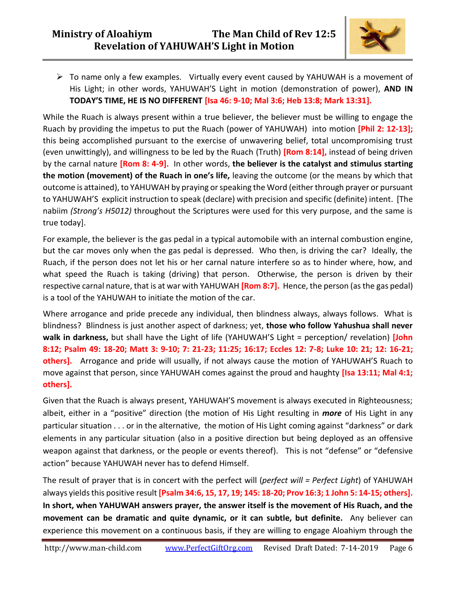

➢ To name only a few examples. Virtually every event caused by YAHUWAH is a movement of His Light; in other words, YAHUWAH'S Light in motion (demonstration of power), **AND IN TODAY'S TIME, HE IS NO DIFFERENT [Isa 46: 9-10; Mal 3:6; Heb 13:8; Mark 13:31].** 

While the Ruach is always present within a true believer, the believer must be willing to engage the Ruach by providing the impetus to put the Ruach (power of YAHUWAH) into motion **[Phil 2: 12-13];** this being accomplished pursuant to the exercise of unwavering belief, total uncompromising trust (even unwittingly), and willingness to be led by the Ruach (Truth) **[Rom 8:14],** instead of being driven by the carnal nature **[Rom 8: 4-9].** In other words, **the believer is the catalyst and stimulus starting the motion (movement) of the Ruach in one's life,** leaving the outcome (or the means by which that outcome is attained), to YAHUWAH by praying or speaking the Word (either through prayer or pursuant to YAHUWAH'S explicit instruction to speak (declare) with precision and specific (definite) intent. [The nabiim *(Strong's H5012)* throughout the Scriptures were used for this very purpose, and the same is true today].

For example, the believer is the gas pedal in a typical automobile with an internal combustion engine, but the car moves only when the gas pedal is depressed. Who then, is driving the car? Ideally, the Ruach, if the person does not let his or her carnal nature interfere so as to hinder where, how, and what speed the Ruach is taking (driving) that person. Otherwise, the person is driven by their respective carnal nature, that is at war with YAHUWAH **[Rom 8:7].** Hence, the person (as the gas pedal) is a tool of the YAHUWAH to initiate the motion of the car.

Where arrogance and pride precede any individual, then blindness always, always follows. What is blindness? Blindness is just another aspect of darkness; yet, **those who follow Yahushua shall never walk in darkness,** but shall have the Light of life (YAHUWAH'S Light = perception/ revelation) **[John 8:12; Psalm 49: 18-20; Matt 3: 9-10; 7: 21-23; 11:25; 16:17; Eccles 12: 7-8; Luke 10: 21; 12: 16-21; others].** Arrogance and pride will usually, if not always cause the motion of YAHUWAH'S Ruach to move against that person, since YAHUWAH comes against the proud and haughty **[Isa 13:11; Mal 4:1; others].**

Given that the Ruach is always present, YAHUWAH'S movement is always executed in Righteousness; albeit, either in a "positive" direction (the motion of His Light resulting in *more* of His Light in any particular situation . . . or in the alternative, the motion of His Light coming against "darkness" or dark elements in any particular situation (also in a positive direction but being deployed as an offensive weapon against that darkness, or the people or events thereof). This is not "defense" or "defensive action" because YAHUWAH never has to defend Himself.

The result of prayer that is in concert with the perfect will (*perfect will = Perfect Light*) of YAHUWAH always yields this positive result **[Psalm 34:6, 15, 17, 19; 145: 18-20; Prov 16:3; 1 John 5: 14-15; others]. In short, when YAHUWAH answers prayer, the answer itself is the movement of His Ruach, and the movement can be dramatic and quite dynamic, or it can subtle, but definite.** Any believer can experience this movement on a continuous basis, if they are willing to engage Aloahiym through the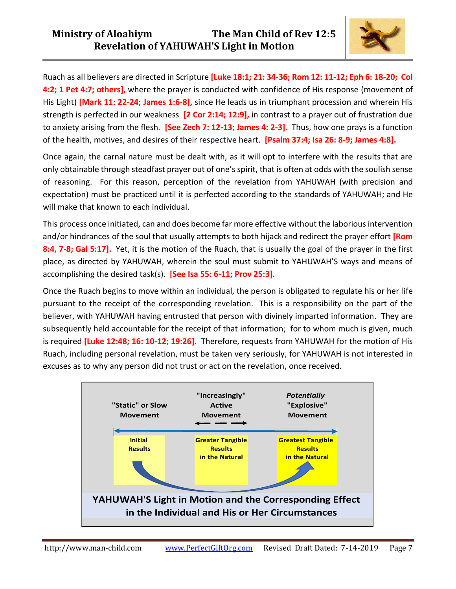

Ruach as all believers are directed in Scripture **[Luke 18:1; 21: 34-36; Rom 12: 11-12; Eph 6: 18-20; Col 4:2; 1 Pet 4:7; others],** where the prayer is conducted with confidence of His response (movement of His Light) **[Mark 11: 22-24; James 1:6-8],** since He leads us in triumphant procession and wherein His strength is perfected in our weakness **[2 Cor 2:14; 12:9],** in contrast to a prayer out of frustration due to anxiety arising from the flesh**. [See Zech 7: 12-13; James 4: 2-3].** Thus, how one prays is a function of the health, motives, and desires of their respective heart. **[Psalm 37:4; Isa 26: 8-9; James 4:8].**

Once again, the carnal nature must be dealt with, as it will opt to interfere with the results that are only obtainable through steadfast prayer out of one's spirit, that is often at odds with the soulish sense of reasoning. For this reason, perception of the revelation from YAHUWAH (with precision and expectation) must be practiced until it is perfected according to the standards of YAHUWAH; and He will make that known to each individual.

This process once initiated, can and does become far more effective without the laborious intervention and/or hindrances of the soul that usually attempts to both hijack and redirect the prayer effort **[Rom 8:4, 7-8; Gal 5:17].** Yet, it is the motion of the Ruach, that is usually the goal of the prayer in the first place, as directed by YAHUWAH, wherein the soul must submit to YAHUWAH'S ways and means of accomplishing the desired task(s). **[See Isa 55: 6-11; Prov 25:3].** 

Once the Ruach begins to move within an individual, the person is obligated to regulate his or her life pursuant to the receipt of the corresponding revelation. This is a responsibility on the part of the believer, with YAHUWAH having entrusted that person with divinely imparted information. They are subsequently held accountable for the receipt of that information; for to whom much is given, much is required **[Luke 12:48; 16: 10-12; 19:26].** Therefore, requests from YAHUWAH for the motion of His Ruach, including personal revelation, must be taken very seriously, for YAHUWAH is not interested in excuses as to why any person did not trust or act on the revelation, once received.

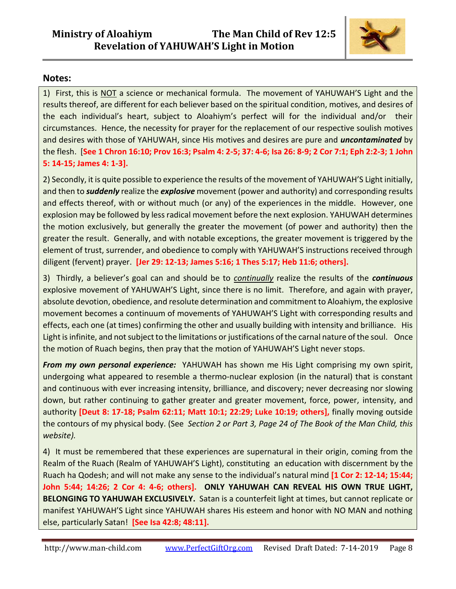

### **Notes:**

1) First, this is NOT a science or mechanical formula. The movement of YAHUWAH'S Light and the results thereof, are different for each believer based on the spiritual condition, motives, and desires of the each individual's heart, subject to Aloahiym's perfect will for the individual and/or their circumstances. Hence, the necessity for prayer for the replacement of our respective soulish motives and desires with those of YAHUWAH, since His motives and desires are pure and *uncontaminated* by the flesh. [**See 1 Chron 16:10; Prov 16:3; Psalm 4: 2-5; 37: 4-6; Isa 26: 8-9; 2 Cor 7:1; Eph 2:2-3; 1 John 5: 14-15; James 4: 1-3].**

2) Secondly, it is quite possible to experience the results of the movement of YAHUWAH'S Light initially, and then to *suddenly* realize the *explosive* movement (power and authority) and corresponding results and effects thereof, with or without much (or any) of the experiences in the middle. However, one explosion may be followed by less radical movement before the next explosion. YAHUWAH determines the motion exclusively, but generally the greater the movement (of power and authority) then the greater the result. Generally, and with notable exceptions, the greater movement is triggered by the element of trust, surrender, and obedience to comply with YAHUWAH'S instructions received through diligent (fervent) prayer. **[Jer 29: 12-13; James 5:16; 1 Thes 5:17; Heb 11:6; others].** 

3) Thirdly, a believer's goal can and should be to *continually* realize the results of the *continuous* explosive movement of YAHUWAH'S Light, since there is no limit. Therefore, and again with prayer, absolute devotion, obedience, and resolute determination and commitment to Aloahiym, the explosive movement becomes a continuum of movements of YAHUWAH'S Light with corresponding results and effects, each one (at times) confirming the other and usually building with intensity and brilliance. His Light is infinite, and not subject to the limitations or justifications of the carnal nature of the soul. Once the motion of Ruach begins, then pray that the motion of YAHUWAH'S Light never stops.

*From my own personal experience:* YAHUWAH has shown me His Light comprising my own spirit, undergoing what appeared to resemble a thermo-nuclear explosion (in the natural) that is constant and continuous with ever increasing intensity, brilliance, and discovery; never decreasing nor slowing down, but rather continuing to gather greater and greater movement, force, power, intensity, and authority **[Deut 8: 17-18; Psalm 62:11; Matt 10:1; 22:29; Luke 10:19; others],** finally moving outside the contours of my physical body. (See *Section 2 or Part 3, Page 24 of The Book of the Man Child, this website).* 

4) It must be remembered that these experiences are supernatural in their origin, coming from the Realm of the Ruach (Realm of YAHUWAH'S Light), constituting an education with discernment by the Ruach ha Qodesh; and will not make any sense to the individual's natural mind **[1 Cor 2: 12-14; 15:44; John 5:44; 14:26; 2 Cor 4: 4-6; others]. ONLY YAHUWAH CAN REVEAL HIS OWN TRUE LIGHT, BELONGING TO YAHUWAH EXCLUSIVELY.** Satan is a counterfeit light at times, but cannot replicate or manifest YAHUWAH'S Light since YAHUWAH shares His esteem and honor with NO MAN and nothing else, particularly Satan! **[See Isa 42:8; 48:11].**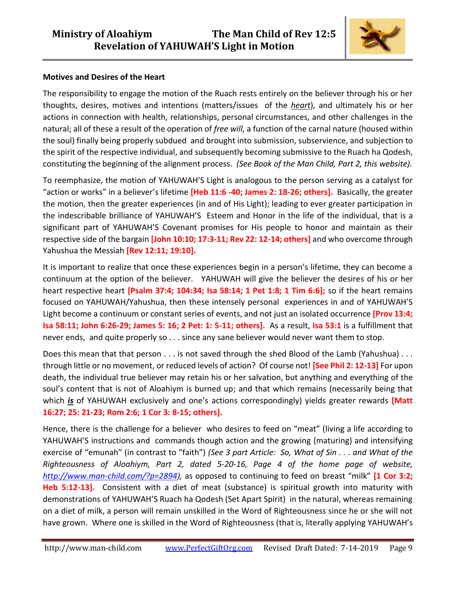

#### **Motives and Desires of the Heart**

The responsibility to engage the motion of the Ruach rests entirely on the believer through his or her thoughts, desires, motives and intentions (matters/issues of the *heart*), and ultimately his or her actions in connection with health, relationships, personal circumstances, and other challenges in the natural; all of these a result of the operation of *free will,* a function of the carnal nature (housed within the soul) finally being properly subdued and brought into submission, subservience, and subjection to the spirit of the respective individual, and subsequently becoming submissive to the Ruach ha Qodesh, constituting the beginning of the alignment process. *(See Book of the Man Child, Part 2, this website).* 

To reemphasize, the motion of YAHUWAH'S Light is analogous to the person serving as a catalyst for "action or works" in a believer's lifetime **[Heb 11:6 -40; James 2: 18-26; others].** Basically, the greater the motion, then the greater experiences (in and of His Light); leading to ever greater participation in the indescribable brilliance of YAHUWAH'S Esteem and Honor in the life of the individual, that is a significant part of YAHUWAH'S Covenant promises for His people to honor and maintain as their respective side of the bargain **[John 10:10; 17:3-11; Rev 22: 12-14; others]** and who overcome through Yahushua the Messiah **[Rev 12:11; 19:10].**

It is important to realize that once these experiences begin in a person's lifetime, they can become a continuum at the option of the believer. YAHUWAH will give the believer the desires of his or her heart respective heart **[Psalm 37:4; 104:34; Isa 58:14; 1 Pet 1:8; 1 Tim 6:6];** so if the heart remains focused on YAHUWAH/Yahushua, then these intensely personal experiences in and of YAHUWAH'S Light become a continuum or constant series of events, and not just an isolated occurrence **[Prov 13:4; Isa 58:11; John 6:26-29; James 5: 16; 2 Pet: 1: 5-11; others].** As a result, **Isa 53:1** is a fulfillment that never ends, and quite properly so . . . since any sane believer would never want them to stop.

Does this mean that that person . . . is not saved through the shed Blood of the Lamb (Yahushua) . . . through little or no movement, or reduced levels of action? Of course not! **[See Phil 2: 12-13]** For upon death, the individual true believer may retain his or her salvation, but anything and everything of the soul's content that is not of Aloahiym is burned up; and that which remains (necessarily being that which *is* of YAHUWAH exclusively and one's actions correspondingly) yields greater rewards **[Matt 16:27; 25: 21-23; Rom 2:6; 1 Cor 3: 8-15; others].** 

Hence, there is the challenge for a believer who desires to feed on "meat" (living a life according to YAHUWAH'S instructions and commands though action and the growing (maturing) and intensifying exercise of "emunah" (in contrast to "faith") *(See 3 part Article: So, What of Sin . . . and What of the Righteousness of Aloahiym, Part 2, dated 5-20-16, Page 4 of the home page of website, [http://www.man-child.com/?p=2894\)](http://www.man-child.com/?p=2894),* as opposed to continuing to feed on breast "milk" **[1 Cor 3:2; Heb 5:12-13].** Consistent with a diet of meat (substance) is spiritual growth into maturity with demonstrations of YAHUWAH'S Ruach ha Qodesh (Set Apart Spirit) in the natural, whereas remaining on a diet of milk, a person will remain unskilled in the Word of Righteousness since he or she will not have grown. Where one is skilled in the Word of Righteousness (that is, literally applying YAHUWAH's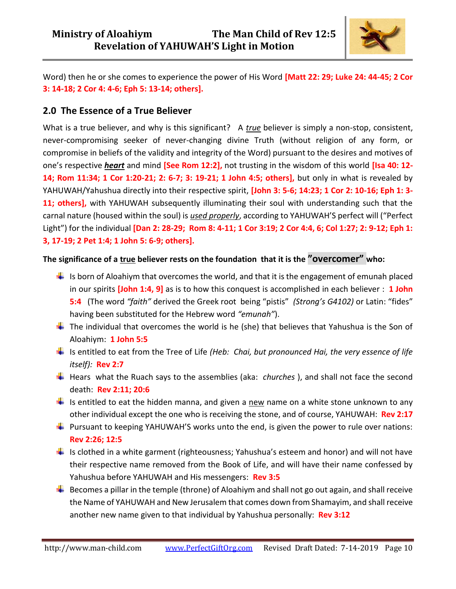

Word) then he or she comes to experience the power of His Word **[Matt 22: 29; Luke 24: 44-45; 2 Cor 3: 14-18; 2 Cor 4: 4-6; Eph 5: 13-14; others].** 

### **2.0 The Essence of a True Believer**

What is a true believer, and why is this significant? A *true* believer is simply a non-stop, consistent, never-compromising seeker of never-changing divine Truth (without religion of any form, or compromise in beliefs of the validity and integrity of the Word) pursuant to the desires and motives of one's respective *heart* and mind **[See Rom 12:2],** not trusting in the wisdom of this world **[Isa 40: 12- 14; Rom 11:34; 1 Cor 1:20-21; 2: 6-7; 3: 19-21; 1 John 4:5; others],** but only in what is revealed by YAHUWAH/Yahushua directly into their respective spirit, **[John 3: 5-6; 14:23; 1 Cor 2: 10-16; Eph 1: 3- 11; others],** with YAHUWAH subsequently illuminating their soul with understanding such that the carnal nature (housed within the soul) is *used properly*, according to YAHUWAH'S perfect will ("Perfect Light") for the individual **[Dan 2: 28-29; Rom 8: 4-11; 1 Cor 3:19; 2 Cor 4:4, 6; Col 1:27; 2: 9-12; Eph 1: 3, 17-19; 2 Pet 1:4; 1 John 5: 6-9; others].** 

### **The significance of a true believer rests on the foundation that it is the "overcomer" who:**

- $\perp$  Is born of Aloahiym that overcomes the world, and that it is the engagement of emunah placed in our spirits **[John 1:4, 9]** as is to how this conquest is accomplished in each believer : **1 John 5:4** (The word *"faith"* derived the Greek root being "pistis" *(Strong's G4102)* or Latin: "fides" having been substituted for the Hebrew word *"emunah"*).
- $\ddot$  The individual that overcomes the world is he (she) that believes that Yahushua is the Son of Aloahiym: **1 John 5:5**
- Is entitled to eat from the Tree of Life *(Heb: Chai, but pronounced Hai, the very essence of life itself):* **Rev 2:7**
- Hears what the Ruach says to the assemblies (aka: *churches*), and shall not face the second death: **Rev 2:11; 20:6**
- $\downarrow$  Is entitled to eat the hidden manna, and given a new name on a white stone unknown to any other individual except the one who is receiving the stone, and of course, YAHUWAH: **Rev 2:17**
- **Pursuant to keeping YAHUWAH'S works unto the end, is given the power to rule over nations: Rev 2:26; 12:5**
- $\frac{1}{2}$  Is clothed in a white garment (righteousness; Yahushua's esteem and honor) and will not have their respective name removed from the Book of Life, and will have their name confessed by Yahushua before YAHUWAH and His messengers: **Rev 3:5**
- $\bigstar$  Becomes a pillar in the temple (throne) of Aloahiym and shall not go out again, and shall receive the Name of YAHUWAH and New Jerusalem that comes down from Shamayim, and shall receive another new name given to that individual by Yahushua personally: **Rev 3:12**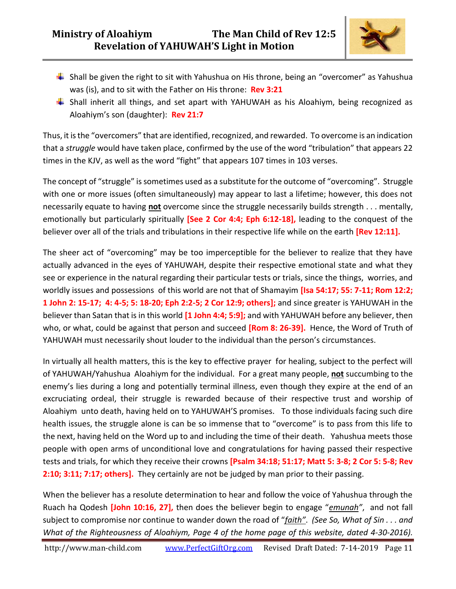

- $\frac{1}{2}$  Shall be given the right to sit with Yahushua on His throne, being an "overcomer" as Yahushua was (is), and to sit with the Father on His throne: **Rev 3:21**
- $\frac{1}{2}$  Shall inherit all things, and set apart with YAHUWAH as his Aloahiym, being recognized as Aloahiym's son (daughter): **Rev 21:7**

Thus, it is the "overcomers" that are identified, recognized, and rewarded. To overcome is an indication that a *struggle* would have taken place, confirmed by the use of the word "tribulation" that appears 22 times in the KJV, as well as the word "fight" that appears 107 times in 103 verses.

The concept of "struggle" is sometimes used as a substitute for the outcome of "overcoming". Struggle with one or more issues (often simultaneously) may appear to last a lifetime; however, this does not necessarily equate to having **not** overcome since the struggle necessarily builds strength . . . mentally, emotionally but particularly spiritually **[See 2 Cor 4:4; Eph 6:12-18],** leading to the conquest of the believer over all of the trials and tribulations in their respective life while on the earth **[Rev 12:11].**

The sheer act of "overcoming" may be too imperceptible for the believer to realize that they have actually advanced in the eyes of YAHUWAH, despite their respective emotional state and what they see or experience in the natural regarding their particular tests or trials, since the things, worries, and worldly issues and possessions of this world are not that of Shamayim **[Isa 54:17; 55: 7-11; Rom 12:2; 1 John 2: 15-17; 4: 4-5; 5: 18-20; Eph 2:2-5; 2 Cor 12:9; others];** and since greater is YAHUWAH in the believer than Satan that is in this world **[1 John 4:4; 5:9];** and with YAHUWAH before any believer, then who, or what, could be against that person and succeed **[Rom 8: 26-39].** Hence, the Word of Truth of YAHUWAH must necessarily shout louder to the individual than the person's circumstances.

In virtually all health matters, this is the key to effective prayer for healing, subject to the perfect will of YAHUWAH/Yahushua Aloahiym for the individual. For a great many people, **not** succumbing to the enemy's lies during a long and potentially terminal illness, even though they expire at the end of an excruciating ordeal, their struggle is rewarded because of their respective trust and worship of Aloahiym unto death, having held on to YAHUWAH'S promises. To those individuals facing such dire health issues, the struggle alone is can be so immense that to "overcome" is to pass from this life to the next, having held on the Word up to and including the time of their death. Yahushua meets those people with open arms of unconditional love and congratulations for having passed their respective tests and trials, for which they receive their crowns **[Psalm 34:18; 51:17; Matt 5: 3-8; 2 Cor 5: 5-8; Rev 2:10; 3:11; 7:17; others].** They certainly are not be judged by man prior to their passing.

When the believer has a resolute determination to hear and follow the voice of Yahushua through the Ruach ha Qodesh **[John 10:16, 27],** then does the believer begin to engage "*emunah"*, and not fall subject to compromise nor continue to wander down the road of "*faith"*. *(See So, What of Sin . . . and What of the Righteousness of Aloahiym, Page 4 of the home page of this website, dated 4-30-2016).*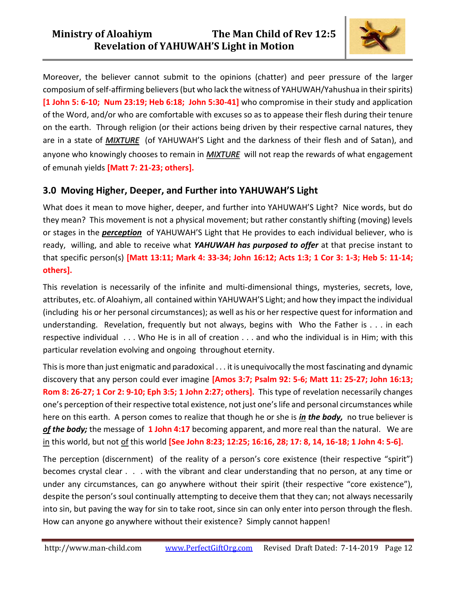

Moreover, the believer cannot submit to the opinions (chatter) and peer pressure of the larger composium of self-affirming believers (but who lack the witness of YAHUWAH/Yahushua in their spirits) **[1 John 5: 6-10; Num 23:19; Heb 6:18; John 5:30-41]** who compromise in their study and application of the Word, and/or who are comfortable with excuses so as to appease their flesh during their tenure on the earth. Through religion (or their actions being driven by their respective carnal natures, they are in a state of *MIXTURE* (of YAHUWAH'S Light and the darkness of their flesh and of Satan), and anyone who knowingly chooses to remain in *MIXTURE* will not reap the rewards of what engagement of emunah yields **[Matt 7: 21-23; others].** 

## **3.0 Moving Higher, Deeper, and Further into YAHUWAH'S Light**

What does it mean to move higher, deeper, and further into YAHUWAH'S Light? Nice words, but do they mean? This movement is not a physical movement; but rather constantly shifting (moving) levels or stages in the *perception* of YAHUWAH'S Light that He provides to each individual believer, who is ready, willing, and able to receive what *YAHUWAH has purposed to offer* at that precise instant to that specific person(s) **[Matt 13:11; Mark 4: 33-34; John 16:12; Acts 1:3; 1 Cor 3: 1-3; Heb 5: 11-14; others].**

This revelation is necessarily of the infinite and multi-dimensional things, mysteries, secrets, love, attributes, etc. of Aloahiym, all contained within YAHUWAH'S Light; and how they impact the individual (including his or her personal circumstances); as well as his or her respective quest for information and understanding. Revelation, frequently but not always, begins with Who the Father is . . . in each respective individual . . . Who He is in all of creation . . . and who the individual is in Him; with this particular revelation evolving and ongoing throughout eternity.

This is more than just enigmatic and paradoxical . . . it is unequivocally the most fascinating and dynamic discovery that any person could ever imagine **[Amos 3:7; Psalm 92: 5-6; Matt 11: 25-27; John 16:13; Rom 8: 26-27; 1 Cor 2: 9-10; Eph 3:5; 1 John 2:27; others].** This type of revelation necessarily changes one's perception of their respective total existence, not just one's life and personal circumstances while here on this earth. A person comes to realize that though he or she is *in the body,* no true believer is *of the body;* the message of **1 John 4:17** becoming apparent, and more real than the natural. We are in this world, but not of this world **[See John 8:23; 12:25; 16:16, 28; 17: 8, 14, 16-18; 1 John 4: 5-6].** 

The perception (discernment) of the reality of a person's core existence (their respective "spirit") becomes crystal clear . . . with the vibrant and clear understanding that no person, at any time or under any circumstances, can go anywhere without their spirit (their respective "core existence"), despite the person's soul continually attempting to deceive them that they can; not always necessarily into sin, but paving the way for sin to take root, since sin can only enter into person through the flesh. How can anyone go anywhere without their existence? Simply cannot happen!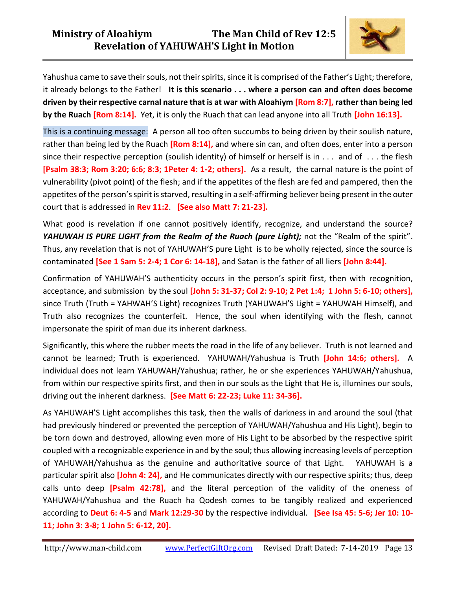## **Ministry of Aloahiym The Man Child of Rev 12:5 Revelation of YAHUWAH'S Light in Motion**



Yahushua came to save their souls, not their spirits, since it is comprised of the Father's Light; therefore, it already belongs to the Father! **It is this scenario . . . where a person can and often does become driven by their respective carnal nature that is at war with Aloahiym [Rom 8:7], rather than being led by the Ruach [Rom 8:14].** Yet, it is only the Ruach that can lead anyone into all Truth **[John 16:13].**

This is a continuing message: A person all too often succumbs to being driven by their soulish nature, rather than being led by the Ruach **[Rom 8:14],** and where sin can, and often does, enter into a person since their respective perception (soulish identity) of himself or herself is in  $\dots$  and of  $\dots$  the flesh **[Psalm 38:3; Rom 3:20; 6:6; 8:3; 1Peter 4: 1-2; others].** As a result,the carnal nature is the point of vulnerability (pivot point) of the flesh; and if the appetites of the flesh are fed and pampered, then the appetites of the person's spirit is starved, resulting in a self-affirming believer being present in the outer court that is addressed in **Rev 11:2**. **[See also Matt 7: 21-23].**

What good is revelation if one cannot positively identify, recognize, and understand the source? YAHUWAH IS PURE LIGHT from the Realm of the Ruach (pure Light); not the "Realm of the spirit". Thus, any revelation that is not of YAHUWAH'S pure Light is to be wholly rejected, since the source is contaminated **[See 1 Sam 5: 2-4; 1 Cor 6: 14-18],** and Satan is the father of all liers **[John 8:44].** 

Confirmation of YAHUWAH'S authenticity occurs in the person's spirit first, then with recognition, acceptance, and submission by the soul **[John 5: 31-37; Col 2: 9-10; 2 Pet 1:4; 1 John 5: 6-10; others],**  since Truth (Truth = YAHWAH'S Light) recognizes Truth (YAHUWAH'S Light = YAHUWAH Himself), and Truth also recognizes the counterfeit. Hence, the soul when identifying with the flesh, cannot impersonate the spirit of man due its inherent darkness.

Significantly, this where the rubber meets the road in the life of any believer. Truth is not learned and cannot be learned; Truth is experienced. YAHUWAH/Yahushua is Truth **[John 14:6; others].** A individual does not learn YAHUWAH/Yahushua; rather, he or she experiences YAHUWAH/Yahushua, from within our respective spirits first, and then in our souls as the Light that He is, illumines our souls, driving out the inherent darkness. **[See Matt 6: 22-23; Luke 11: 34-36].** 

As YAHUWAH'S Light accomplishes this task, then the walls of darkness in and around the soul (that had previously hindered or prevented the perception of YAHUWAH/Yahushua and His Light), begin to be torn down and destroyed, allowing even more of His Light to be absorbed by the respective spirit coupled with a recognizable experience in and by the soul; thus allowing increasing levels of perception of YAHUWAH/Yahushua as the genuine and authoritative source of that Light. YAHUWAH is a particular spirit also **[John 4: 24],** and He communicates directly with our respective spirits; thus, deep calls unto deep **[Psalm 42:78],** and the literal perception of the validity of the oneness of YAHUWAH/Yahushua and the Ruach ha Qodesh comes to be tangibly realized and experienced according to **Deut 6: 4-5** and **Mark 12:29-30** by the respective individual. **[See Isa 45: 5-6; Jer 10: 10- 11; John 3: 3-8; 1 John 5: 6-12, 20].**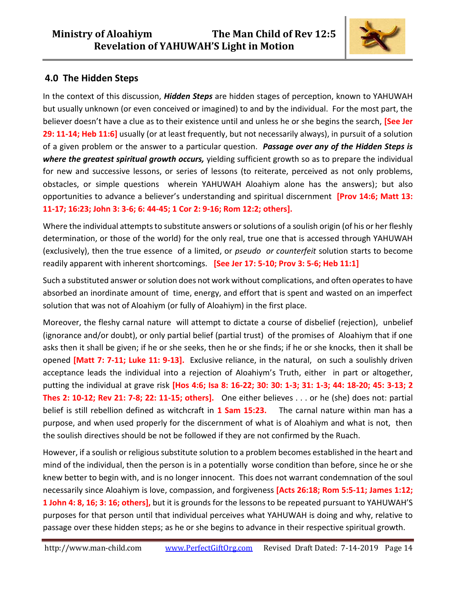

## **4.0 The Hidden Steps**

In the context of this discussion, *Hidden Steps* are hidden stages of perception, known to YAHUWAH but usually unknown (or even conceived or imagined) to and by the individual. For the most part, the believer doesn't have a clue as to their existence until and unless he or she begins the search, **[See Jer 29: 11-14; Heb 11:6]** usually (or at least frequently, but not necessarily always), in pursuit of a solution of a given problem or the answer to a particular question. *Passage over any of the Hidden Steps is where the greatest spiritual growth occurs,* yielding sufficient growth so as to prepare the individual for new and successive lessons, or series of lessons (to reiterate, perceived as not only problems, obstacles, or simple questions wherein YAHUWAH Aloahiym alone has the answers); but also opportunities to advance a believer's understanding and spiritual discernment **[Prov 14:6; Matt 13: 11-17; 16:23; John 3: 3-6; 6: 44-45; 1 Cor 2: 9-16; Rom 12:2; others].** 

Where the individual attempts to substitute answers or solutions of a soulish origin (of his or her fleshly determination, or those of the world) for the only real, true one that is accessed through YAHUWAH (exclusively), then the true essence of a limited, or *pseudo or counterfeit* solution starts to become readily apparent with inherent shortcomings. **[See Jer 17: 5-10; Prov 3: 5-6; Heb 11:1]**

Such a substituted answer or solution does not work without complications, and often operates to have absorbed an inordinate amount of time, energy, and effort that is spent and wasted on an imperfect solution that was not of Aloahiym (or fully of Aloahiym) in the first place.

Moreover, the fleshy carnal nature will attempt to dictate a course of disbelief (rejection), unbelief (ignorance and/or doubt), or only partial belief (partial trust) of the promises of Aloahiym that if one asks then it shall be given; if he or she seeks, then he or she finds; if he or she knocks, then it shall be opened **[Matt 7: 7-11; Luke 11: 9-13].** Exclusive reliance, in the natural, on such a soulishly driven acceptance leads the individual into a rejection of Aloahiym's Truth, either in part or altogether, putting the individual at grave risk **[Hos 4:6; Isa 8: 16-22; 30: 30: 1-3; 31: 1-3; 44: 18-20; 45: 3-13; 2 Thes 2: 10-12; Rev 21: 7-8; 22: 11-15; others].** One either believes . . . or he (she) does not: partial belief is still rebellion defined as witchcraft in **1 Sam 15:23.** The carnal nature within man has a purpose, and when used properly for the discernment of what is of Aloahiym and what is not, then the soulish directives should be not be followed if they are not confirmed by the Ruach.

However, if a soulish or religious substitute solution to a problem becomes established in the heart and mind of the individual, then the person is in a potentially worse condition than before, since he or she knew better to begin with, and is no longer innocent. This does not warrant condemnation of the soul necessarily since Aloahiym is love, compassion, and forgiveness **[Acts 26:18; Rom 5:5-11; James 1:12; 1 John 4: 8, 16; 3: 16; others],** but it is grounds for the lessons to be repeated pursuant to YAHUWAH'S purposes for that person until that individual perceives what YAHUWAH is doing and why, relative to passage over these hidden steps; as he or she begins to advance in their respective spiritual growth.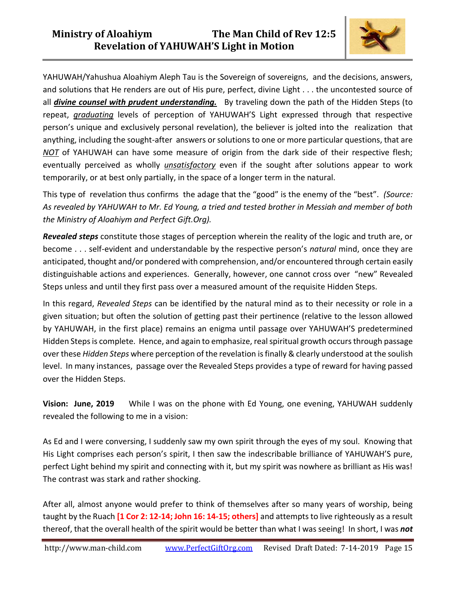

YAHUWAH/Yahushua Aloahiym Aleph Tau is the Sovereign of sovereigns, and the decisions, answers, and solutions that He renders are out of His pure, perfect, divine Light . . . the uncontested source of all *divine counsel with prudent understanding.* By traveling down the path of the Hidden Steps (to repeat, *graduating* levels of perception of YAHUWAH'S Light expressed through that respective person's unique and exclusively personal revelation), the believer is jolted into the realization that anything, including the sought-after answers or solutions to one or more particular questions, that are *NOT* of YAHUWAH can have some measure of origin from the dark side of their respective flesh; eventually perceived as wholly *unsatisfactory* even if the sought after solutions appear to work temporarily, or at best only partially, in the space of a longer term in the natural.

This type of revelation thus confirms the adage that the "good" is the enemy of the "best". *(Source: As revealed by YAHUWAH to Mr. Ed Young, a tried and tested brother in Messiah and member of both the Ministry of Aloahiym and Perfect Gift.Org).* 

*Revealed steps* constitute those stages of perception wherein the reality of the logic and truth are, or become . . . self-evident and understandable by the respective person's *natural* mind, once they are anticipated, thought and/or pondered with comprehension, and/or encountered through certain easily distinguishable actions and experiences. Generally, however, one cannot cross over "new" Revealed Steps unless and until they first pass over a measured amount of the requisite Hidden Steps.

In this regard, *Revealed Steps* can be identified by the natural mind as to their necessity or role in a given situation; but often the solution of getting past their pertinence (relative to the lesson allowed by YAHUWAH, in the first place) remains an enigma until passage over YAHUWAH'S predetermined Hidden Steps is complete. Hence, and again to emphasize, real spiritual growth occurs through passage over these *Hidden Steps* where perception of the revelation is finally & clearly understood at the soulish level. In many instances, passage over the Revealed Steps provides a type of reward for having passed over the Hidden Steps.

**Vision: June, 2019** While I was on the phone with Ed Young, one evening, YAHUWAH suddenly revealed the following to me in a vision:

As Ed and I were conversing, I suddenly saw my own spirit through the eyes of my soul. Knowing that His Light comprises each person's spirit, I then saw the indescribable brilliance of YAHUWAH'S pure, perfect Light behind my spirit and connecting with it, but my spirit was nowhere as brilliant as His was! The contrast was stark and rather shocking.

After all, almost anyone would prefer to think of themselves after so many years of worship, being taught by the Ruach **[1 Cor 2: 12-14; John 16: 14-15; others]** and attempts to live righteously as a result thereof, that the overall health of the spirit would be better than what I was seeing! In short, I was *not*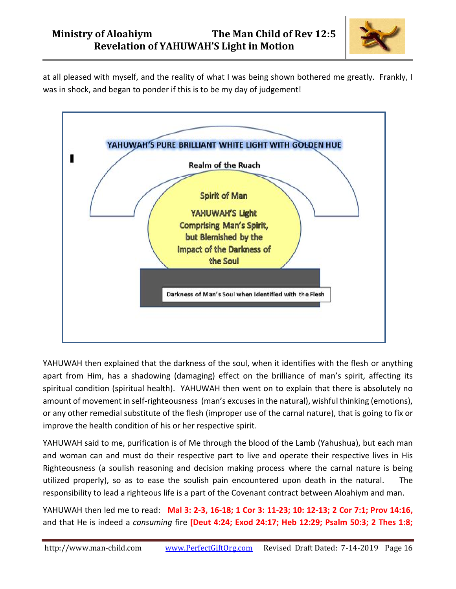

at all pleased with myself, and the reality of what I was being shown bothered me greatly. Frankly, I was in shock, and began to ponder if this is to be my day of judgement!



YAHUWAH then explained that the darkness of the soul, when it identifies with the flesh or anything apart from Him, has a shadowing (damaging) effect on the brilliance of man's spirit, affecting its spiritual condition (spiritual health). YAHUWAH then went on to explain that there is absolutely no amount of movement in self-righteousness (man's excuses in the natural), wishful thinking (emotions), or any other remedial substitute of the flesh (improper use of the carnal nature), that is going to fix or improve the health condition of his or her respective spirit.

YAHUWAH said to me, purification is of Me through the blood of the Lamb (Yahushua), but each man and woman can and must do their respective part to live and operate their respective lives in His Righteousness (a soulish reasoning and decision making process where the carnal nature is being utilized properly), so as to ease the soulish pain encountered upon death in the natural. The responsibility to lead a righteous life is a part of the Covenant contract between Aloahiym and man.

YAHUWAH then led me to read: **Mal 3: 2-3, 16-18; 1 Cor 3: 11-23; 10: 12-13; 2 Cor 7:1; Prov 14:16,**  and that He is indeed a *consuming* fire **[Deut 4:24; Exod 24:17; Heb 12:29; Psalm 50:3; 2 Thes 1:8;**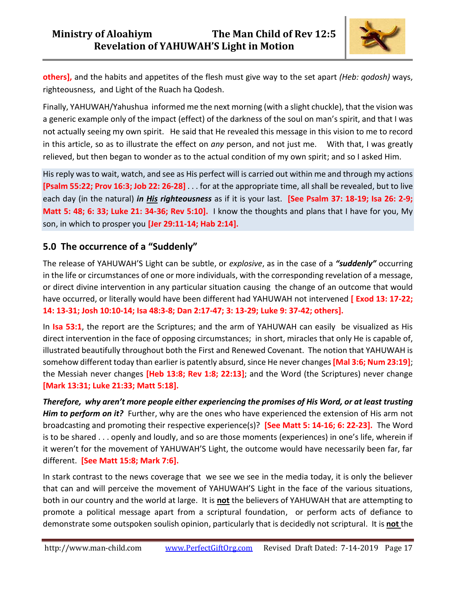

**others],** and the habits and appetites of the flesh must give way to the set apart *(Heb: qodosh)* ways, righteousness, and Light of the Ruach ha Qodesh.

Finally, YAHUWAH/Yahushua informed me the next morning (with a slight chuckle), that the vision was a generic example only of the impact (effect) of the darkness of the soul on man's spirit, and that I was not actually seeing my own spirit. He said that He revealed this message in this vision to me to record in this article, so as to illustrate the effect on *any* person, and not just me. With that, I was greatly relieved, but then began to wonder as to the actual condition of my own spirit; and so I asked Him.

His reply was to wait, watch, and see as His perfect will is carried out within me and through my actions **[Psalm 55:22; Prov 16:3; Job 22: 26-28]** . . . for at the appropriate time, all shall be revealed, but to live each day (in the natural) *in His righteousness* as if it is your last. **[See Psalm 37: 18-19; Isa 26: 2-9; Matt 5: 48; 6: 33; Luke 21: 34-36; Rev 5:10].** I know the thoughts and plans that I have for you, My son, in which to prosper you **[Jer 29:11-14; Hab 2:14].**

## **5.0 The occurrence of a "Suddenly"**

The release of YAHUWAH'S Light can be subtle, or *explosive*, as in the case of a *"suddenly"* occurring in the life or circumstances of one or more individuals, with the corresponding revelation of a message, or direct divine intervention in any particular situation causing the change of an outcome that would have occurred, or literally would have been different had YAHUWAH not intervened **[ Exod 13: 17-22; 14: 13-31; Josh 10:10-14; Isa 48:3-8; Dan 2:17-47; 3: 13-29; Luke 9: 37-42; others].** 

In **Isa 53:1**, the report are the Scriptures; and the arm of YAHUWAH can easily be visualized as His direct intervention in the face of opposing circumstances; in short, miracles that only He is capable of, illustrated beautifully throughout both the First and Renewed Covenant. The notion that YAHUWAH is somehow different today than earlier is patently absurd, since He never changes **[Mal 3:6; Num 23:19]**; the Messiah never changes **[Heb 13:8; Rev 1:8; 22:13]**; and the Word (the Scriptures) never change **[Mark 13:31; Luke 21:33; Matt 5:18].** 

*Therefore, why aren't more people either experiencing the promises of His Word, or at least trusting Him to perform on it?* Further, why are the ones who have experienced the extension of His arm not broadcasting and promoting their respective experience(s)? **[See Matt 5: 14-16; 6: 22-23].** The Word is to be shared . . . openly and loudly, and so are those moments (experiences) in one's life, wherein if it weren't for the movement of YAHUWAH'S Light, the outcome would have necessarily been far, far different. **[See Matt 15:8; Mark 7:6].** 

In stark contrast to the news coverage that we see we see in the media today, it is only the believer that can and will perceive the movement of YAHUWAH'S Light in the face of the various situations, both in our country and the world at large. It is **not** the believers of YAHUWAH that are attempting to promote a political message apart from a scriptural foundation, or perform acts of defiance to demonstrate some outspoken soulish opinion, particularly that is decidedly not scriptural. It is **not** the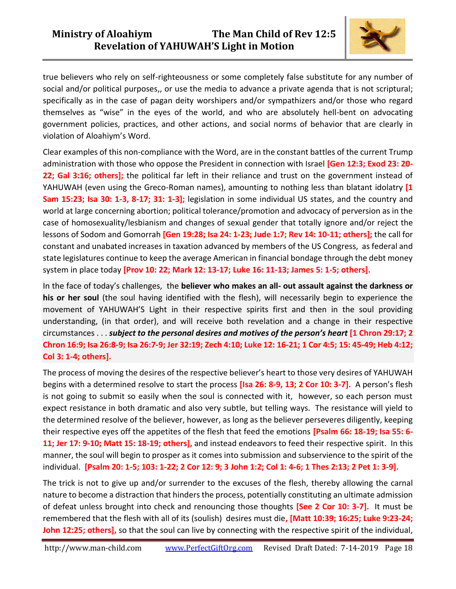## **Ministry of Aloahiym The Man Child of Rev 12:5 Revelation of YAHUWAH'S Light in Motion**



true believers who rely on self-righteousness or some completely false substitute for any number of social and/or political purposes,, or use the media to advance a private agenda that is not scriptural; specifically as in the case of pagan deity worshipers and/or sympathizers and/or those who regard themselves as "wise" in the eyes of the world, and who are absolutely hell-bent on advocating government policies, practices, and other actions, and social norms of behavior that are clearly in violation of Aloahiym's Word.

Clear examples of this non-compliance with the Word, are in the constant battles of the current Trump administration with those who oppose the President in connection with Israel **[Gen 12:3; Exod 23: 20- 22; Gal 3:16; others];** the political far left in their reliance and trust on the government instead of YAHUWAH (even using the Greco-Roman names), amounting to nothing less than blatant idolatry **[1 Sam 15:23; Isa 30: 1-3, 8-17; 31: 1-3];** legislation in some individual US states, and the country and world at large concerning abortion; political tolerance/promotion and advocacy of perversion as in the case of homosexuality/lesbianism and changes of sexual gender that totally ignore and/or reject the lessons of Sodom and Gomorrah **[Gen 19:28; Isa 24: 1-23; Jude 1:7; Rev 14: 10-11; others];** the call for constant and unabated increases in taxation advanced by members of the US Congress, as federal and state legislatures continue to keep the average American in financial bondage through the debt money system in place today **[Prov 10: 22; Mark 12: 13-17; Luke 16: 11-13; James 5: 1-5; others].** 

In the face of today's challenges, the **believer who makes an all- out assault against the darkness or his or her soul** (the soul having identified with the flesh), will necessarily begin to experience the movement of YAHUWAH'S Light in their respective spirits first and then in the soul providing understanding, (in that order), and will receive both revelation and a change in their respective circumstances . . . *subject to the personal desires and motives of the person's heart* **[1 Chron 29:17; 2 Chron 16:9; Isa 26:8-9; Isa 26:7-9; Jer 32:19; Zech 4:10; Luke 12: 16-21; 1 Cor 4:5; 15: 45-49; Heb 4:12; Col 3: 1-4; others].**

The process of moving the desires of the respective believer's heart to those very desires of YAHUWAH begins with a determined resolve to start the process **[Isa 26: 8-9, 13; 2 Cor 10: 3-7].** A person's flesh is not going to submit so easily when the soul is connected with it, however, so each person must expect resistance in both dramatic and also very subtle, but telling ways. The resistance will yield to the determined resolve of the believer, however, as long as the believer perseveres diligently, keeping their respective eyes off the appetites of the flesh that feed the emotions **[Psalm 66: 18-19; Isa 55: 6- 11; Jer 17: 9-10; Matt 15: 18-19; others],** and instead endeavors to feed their respective spirit. In this manner, the soul will begin to prosper as it comes into submission and subservience to the spirit of the individual. **[Psalm 20: 1-5; 103: 1-22; 2 Cor 12: 9; 3 John 1:2; Col 1: 4-6; 1 Thes 2:13; 2 Pet 1: 3-9].** 

The trick is not to give up and/or surrender to the excuses of the flesh, thereby allowing the carnal nature to become a distraction that hinders the process, potentially constituting an ultimate admission of defeat unless brought into check and renouncing those thoughts **[See 2 Cor 10: 3-7].** It must be remembered that the flesh with all of its (soulish) desires must die**, [Matt 10:39; 16:25; Luke 9:23-24;**  John 12:25; others], so that the soul can live by connecting with the respective spirit of the individual,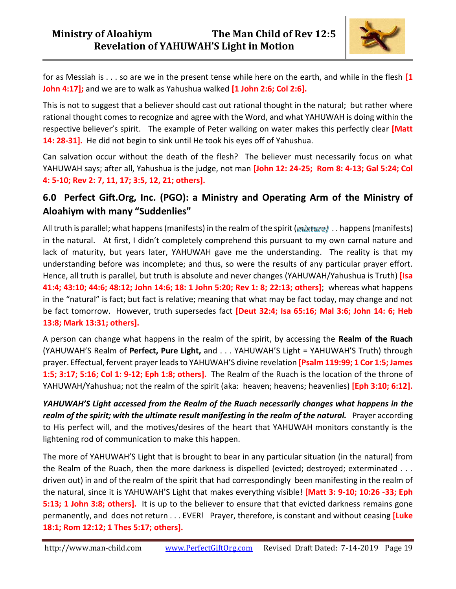

for as Messiah is . . . so are we in the present tense while here on the earth, and while in the flesh **[1 John 4:17];** and we are to walk as Yahushua walked **[1 John 2:6; Col 2:6].** 

This is not to suggest that a believer should cast out rational thought in the natural; but rather where rational thought comes to recognize and agree with the Word, and what YAHUWAH is doing within the respective believer's spirit. The example of Peter walking on water makes this perfectly clear **[Matt 14: 28-31].** He did not begin to sink until He took his eyes off of Yahushua.

Can salvation occur without the death of the flesh? The believer must necessarily focus on what YAHUWAH says; after all, Yahushua is the judge, not man **[John 12: 24-25; Rom 8: 4-13; Gal 5:24; Col 4: 5-10; Rev 2: 7, 11, 17; 3:5, 12, 21; others].** 

## **6.0 Perfect Gift.Org, Inc. (PGO): a Ministry and Operating Arm of the Ministry of Aloahiym with many "Suddenlies"**

All truth is parallel; what happens (manifests) in the realm of the spirit (*mixture*) . . happens (manifests) in the natural. At first, I didn't completely comprehend this pursuant to my own carnal nature and lack of maturity, but years later, YAHUWAH gave me the understanding. The reality is that my understanding before was incomplete; and thus, so were the results of any particular prayer effort. Hence, all truth is parallel, but truth is absolute and never changes (YAHUWAH/Yahushua is Truth) **[Isa 41:4; 43:10; 44:6; 48:12; John 14:6; 18: 1 John 5:20; Rev 1: 8; 22:13; others]**; whereas what happens in the "natural" is fact; but fact is relative; meaning that what may be fact today, may change and not be fact tomorrow. However, truth supersedes fact **[Deut 32:4; Isa 65:16; Mal 3:6; John 14: 6; Heb 13:8; Mark 13:31; others].**

A person can change what happens in the realm of the spirit, by accessing the **Realm of the Ruach** (YAHUWAH'S Realm of **Perfect, Pure Light,** and . . . YAHUWAH'S Light = YAHUWAH'S Truth) through prayer. Effectual, fervent prayer leads to YAHUWAH'S divine revelation **[Psalm 119:99; 1 Cor 1:5; James 1:5; 3:17; 5:16; Col 1: 9-12; Eph 1:8; others].** The Realm of the Ruach is the location of the throne of YAHUWAH/Yahushua; not the realm of the spirit (aka: heaven; heavens; heavenlies) **[Eph 3:10; 6:12].** 

*YAHUWAH'S Light accessed from the Realm of the Ruach necessarily changes what happens in the realm of the spirit; with the ultimate result manifesting in the realm of the natural.* Prayer according to His perfect will, and the motives/desires of the heart that YAHUWAH monitors constantly is the lightening rod of communication to make this happen.

The more of YAHUWAH'S Light that is brought to bear in any particular situation (in the natural) from the Realm of the Ruach, then the more darkness is dispelled (evicted; destroyed; exterminated . . . driven out) in and of the realm of the spirit that had correspondingly been manifesting in the realm of the natural, since it is YAHUWAH'S Light that makes everything visible! **[Matt 3: 9-10; 10:26 -33; Eph 5:13; 1 John 3:8; others].** It is up to the believer to ensure that that evicted darkness remains gone permanently, and does not return . . . EVER! Prayer, therefore, is constant and without ceasing **[Luke 18:1; Rom 12:12; 1 Thes 5:17; others].**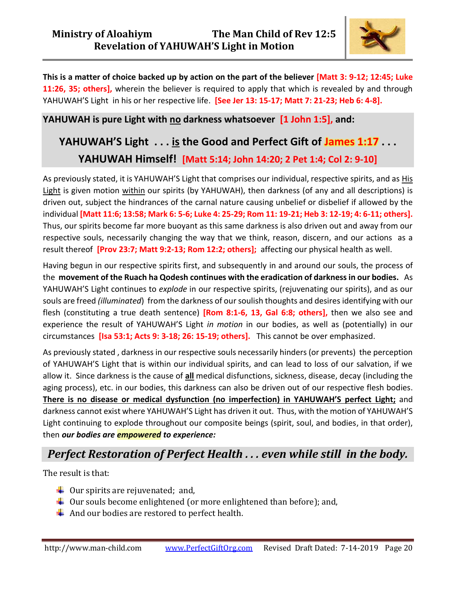

**This is a matter of choice backed up by action on the part of the believer [Matt 3: 9-12; 12:45; Luke 11:26, 35; others],** wherein the believer is required to apply that which is revealed by and through YAHUWAH'S Light in his or her respective life. **[See Jer 13: 15-17; Matt 7: 21-23; Heb 6: 4-8].**

## **YAHUWAH is pure Light with no darkness whatsoever [1 John 1:5], and:**

## **YAHUWAH'S Light . . . is the Good and Perfect Gift of James 1:17 . . . YAHUWAH Himself! [Matt 5:14; John 14:20; 2 Pet 1:4; Col 2: 9-10]**

As previously stated, it is YAHUWAH'S Light that comprises our individual, respective spirits, and as **His** Light is given motion within our spirits (by YAHUWAH), then darkness (of any and all descriptions) is driven out, subject the hindrances of the carnal nature causing unbelief or disbelief if allowed by the individual **[Matt 11:6; 13:58; Mark 6: 5-6; Luke 4: 25-29; Rom 11: 19-21; Heb 3: 12-19; 4: 6-11; others].**  Thus, our spirits become far more buoyant as this same darkness is also driven out and away from our respective souls, necessarily changing the way that we think, reason, discern, and our actions as a result thereof **[Prov 23:7; Matt 9:2-13; Rom 12:2; others];** affecting our physical health as well.

Having begun in our respective spirits first, and subsequently in and around our souls, the process of the **movement of the Ruach ha Qodesh continues with the eradication of darkness in our bodies.** As YAHUWAH'S Light continues to *explode* in our respective spirits, (rejuvenating our spirits), and as our souls are freed *(illuminated*) from the darkness of our soulish thoughts and desires identifying with our flesh (constituting a true death sentence) **[Rom 8:1-6, 13, Gal 6:8; others],** then we also see and experience the result of YAHUWAH'S Light *in motion* in our bodies, as well as (potentially) in our circumstances **[Isa 53:1; Acts 9: 3-18; 26: 15-19; others].** This cannot be over emphasized.

As previously stated , darkness in our respective souls necessarily hinders (or prevents) the perception of YAHUWAH'S Light that is within our individual spirits, and can lead to loss of our salvation, if we allow it. Since darkness is the cause of **all** medical disfunctions, sickness, disease, decay (including the aging process), etc. in our bodies, this darkness can also be driven out of our respective flesh bodies. **There is no disease or medical dysfunction (no imperfection) in YAHUWAH'S perfect Light;** and darkness cannot exist where YAHUWAH'S Light has driven it out. Thus, with the motion of YAHUWAH'S Light continuing to explode throughout our composite beings (spirit, soul, and bodies, in that order), then *our bodies are empowered to experience:* 

## *Perfect Restoration of Perfect Health . . . even while still in the body.*

The result is that:

- $\downarrow$  Our spirits are rejuvenated; and,
- $\downarrow$  0ur souls become enlightened (or more enlightened than before); and,
- $\overline{\phantom{a}}$  And our bodies are restored to perfect health.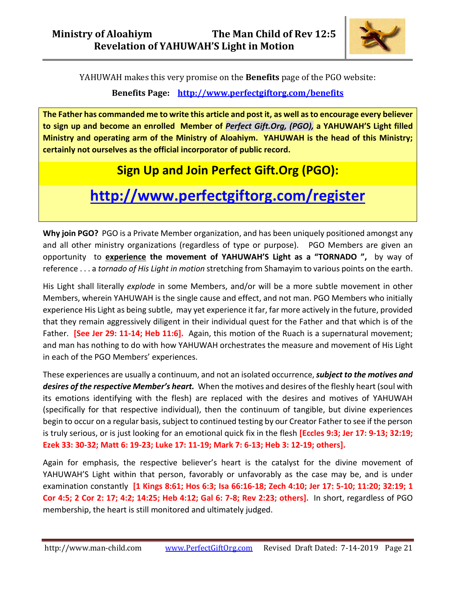

YAHUWAH makes this very promise on the **Benefits** page of the PGO website:

**Benefits Page: <http://www.perfectgiftorg.com/benefits>**

**The Father has commanded me to write this article and post it, as well as to encourage every believer to sign up and become an enrolled Member of** *Perfect Gift.Org, (PGO),* **a YAHUWAH'S Light filled Ministry and operating arm of the Ministry of Aloahiym. YAHUWAH is the head of this Ministry; certainly not ourselves as the official incorporator of public record.**

## **Sign Up and Join Perfect Gift.Org (PGO):**

# **<http://www.perfectgiftorg.com/register>**

**Why join PGO?** PGO is a Private Member organization, and has been uniquely positioned amongst any and all other ministry organizations (regardless of type or purpose). PGO Members are given an opportunity to **experience the movement of YAHUWAH'S Light as a "TORNADO ",** by way of reference . . . a *tornado of His Light in motion* stretching from Shamayim to various points on the earth.

His Light shall literally *explode* in some Members, and/or will be a more subtle movement in other Members, wherein YAHUWAH is the single cause and effect, and not man. PGO Members who initially experience His Light as being subtle, may yet experience it far, far more actively in the future, provided that they remain aggressively diligent in their individual quest for the Father and that which is of the Father. **[See Jer 29: 11-14; Heb 11:6].** Again, this motion of the Ruach is a supernatural movement; and man has nothing to do with how YAHUWAH orchestrates the measure and movement of His Light in each of the PGO Members' experiences.

These experiences are usually a continuum, and not an isolated occurrence, *subject to the motives and desires of the respective Member's heart.* When the motives and desires of the fleshly heart (soul with its emotions identifying with the flesh) are replaced with the desires and motives of YAHUWAH (specifically for that respective individual), then the continuum of tangible, but divine experiences begin to occur on a regular basis, subject to continued testing by our Creator Father to see if the person is truly serious, or is just looking for an emotional quick fix in the flesh **[Eccles 9:3; Jer 17: 9-13; 32:19; Ezek 33: 30-32; Matt 6: 19-23; Luke 17: 11-19; Mark 7: 6-13; Heb 3: 12-19; others].** 

Again for emphasis, the respective believer's heart is the catalyst for the divine movement of YAHUWAH'S Light within that person, favorably or unfavorably as the case may be, and is under examination constantly **[1 Kings 8:61; Hos 6:3; Isa 66:16-18; Zech 4:10; Jer 17: 5-10; 11:20; 32:19; 1 Cor 4:5; 2 Cor 2: 17; 4:2; 14:25; Heb 4:12; Gal 6: 7-8; Rev 2:23; others].** In short, regardless of PGO membership, the heart is still monitored and ultimately judged.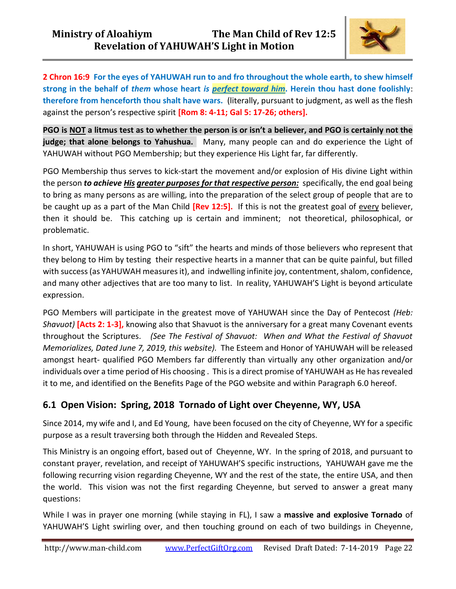

**2 Chron 16:9 For the eyes of YAHUWAH run to and fro throughout the whole earth, to shew himself strong in the behalf of** *them* **whose heart** *is perfect toward him***. Herein thou hast done foolishly**: **therefore from henceforth thou shalt have wars.** (literally, pursuant to judgment, as well as the flesh against the person's respective spirit **[Rom 8: 4-11; Gal 5: 17-26; others].** 

**PGO is NOT a litmus test as to whether the person is or isn't a believer, and PGO is certainly not the judge; that alone belongs to Yahushua.** Many, many people can and do experience the Light of YAHUWAH without PGO Membership; but they experience His Light far, far differently.

PGO Membership thus serves to kick-start the movement and/or explosion of His divine Light within the person *to achieve His greater purposes for that respective person:* specifically, the end goal being to bring as many persons as are willing, into the preparation of the select group of people that are to be caught up as a part of the Man Child **[Rev 12:5].** If this is not the greatest goal of every believer, then it should be. This catching up is certain and imminent; not theoretical, philosophical, or problematic.

In short, YAHUWAH is using PGO to "sift" the hearts and minds of those believers who represent that they belong to Him by testing their respective hearts in a manner that can be quite painful, but filled with success (as YAHUWAH measures it), and indwelling infinite joy, contentment, shalom, confidence, and many other adjectives that are too many to list. In reality, YAHUWAH'S Light is beyond articulate expression.

PGO Members will participate in the greatest move of YAHUWAH since the Day of Pentecost *(Heb: Shavuot)* **[Acts 2: 1-3],** knowing also that Shavuot is the anniversary for a great many Covenant events throughout the Scriptures. *(See The Festival of Shavuot: When and What the Festival of Shavuot Memorializes, Dated June 7, 2019, this website).* The Esteem and Honor of YAHUWAH will be released amongst heart- qualified PGO Members far differently than virtually any other organization and/or individuals over a time period of His choosing . This is a direct promise of YAHUWAH as He has revealed it to me, and identified on the Benefits Page of the PGO website and within Paragraph 6.0 hereof.

## **6.1 Open Vision: Spring, 2018 Tornado of Light over Cheyenne, WY, USA**

Since 2014, my wife and I, and Ed Young, have been focused on the city of Cheyenne, WY for a specific purpose as a result traversing both through the Hidden and Revealed Steps.

This Ministry is an ongoing effort, based out of Cheyenne, WY. In the spring of 2018, and pursuant to constant prayer, revelation, and receipt of YAHUWAH'S specific instructions, YAHUWAH gave me the following recurring vision regarding Cheyenne, WY and the rest of the state, the entire USA, and then the world. This vision was not the first regarding Cheyenne, but served to answer a great many questions:

While I was in prayer one morning (while staying in FL), I saw a **massive and explosive Tornado** of YAHUWAH'S Light swirling over, and then touching ground on each of two buildings in Cheyenne,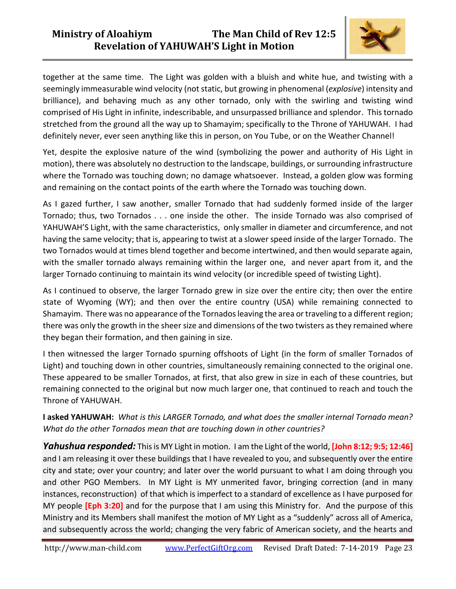## **Ministry of Aloahiym The Man Child of Rev 12:5 Revelation of YAHUWAH'S Light in Motion**



together at the same time. The Light was golden with a bluish and white hue, and twisting with a seemingly immeasurable wind velocity (not static, but growing in phenomenal (*explosive*) intensity and brilliance), and behaving much as any other tornado, only with the swirling and twisting wind comprised of His Light in infinite, indescribable, and unsurpassed brilliance and splendor. This tornado stretched from the ground all the way up to Shamayim; specifically to the Throne of YAHUWAH. I had definitely never, ever seen anything like this in person, on You Tube, or on the Weather Channel!

Yet, despite the explosive nature of the wind (symbolizing the power and authority of His Light in motion), there was absolutely no destruction to the landscape, buildings, or surrounding infrastructure where the Tornado was touching down; no damage whatsoever. Instead, a golden glow was forming and remaining on the contact points of the earth where the Tornado was touching down.

As I gazed further, I saw another, smaller Tornado that had suddenly formed inside of the larger Tornado; thus, two Tornados . . . one inside the other. The inside Tornado was also comprised of YAHUWAH'S Light, with the same characteristics, only smaller in diameter and circumference, and not having the same velocity; that is, appearing to twist at a slower speed inside of the larger Tornado. The two Tornados would at times blend together and become intertwined, and then would separate again, with the smaller tornado always remaining within the larger one, and never apart from it, and the larger Tornado continuing to maintain its wind velocity (or incredible speed of twisting Light).

As I continued to observe, the larger Tornado grew in size over the entire city; then over the entire state of Wyoming (WY); and then over the entire country (USA) while remaining connected to Shamayim. There was no appearance of the Tornados leaving the area or traveling to a different region; there was only the growth in the sheer size and dimensions of the two twisters as they remained where they began their formation, and then gaining in size.

I then witnessed the larger Tornado spurning offshoots of Light (in the form of smaller Tornados of Light) and touching down in other countries, simultaneously remaining connected to the original one. These appeared to be smaller Tornados, at first, that also grew in size in each of these countries, but remaining connected to the original but now much larger one, that continued to reach and touch the Throne of YAHUWAH.

**I asked YAHUWAH:** *What is this LARGER Tornado, and what does the smaller internal Tornado mean? What do the other Tornados mean that are touching down in other countries?*

*Yahushua responded:* This is MY Light in motion. I am the Light of the world, **[John 8:12; 9:5; 12:46]** and I am releasing it over these buildings that I have revealed to you, and subsequently over the entire city and state; over your country; and later over the world pursuant to what I am doing through you and other PGO Members. In MY Light is MY unmerited favor, bringing correction (and in many instances, reconstruction) of that which is imperfect to a standard of excellence as I have purposed for MY people **[Eph 3:20]** and for the purpose that I am using this Ministry for. And the purpose of this Ministry and its Members shall manifest the motion of MY Light as a "suddenly" across all of America, and subsequently across the world; changing the very fabric of American society, and the hearts and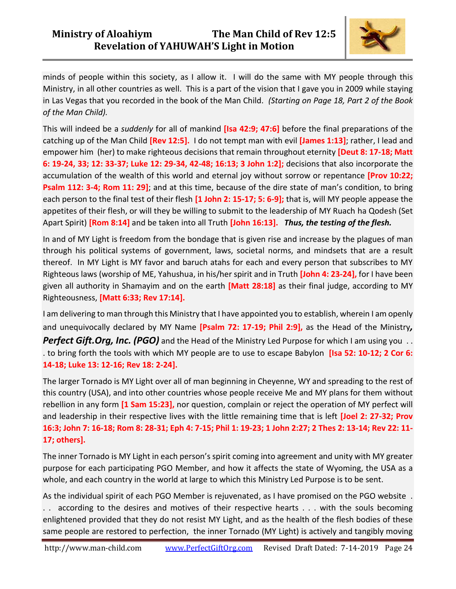## **Ministry of Aloahiym The Man Child of Rev 12:5 Revelation of YAHUWAH'S Light in Motion**



minds of people within this society, as I allow it. I will do the same with MY people through this Ministry, in all other countries as well. This is a part of the vision that I gave you in 2009 while staying in Las Vegas that you recorded in the book of the Man Child. *(Starting on Page 18, Part 2 of the Book of the Man Child).*

This will indeed be a *suddenly* for all of mankind **[Isa 42:9; 47:6]** before the final preparations of the catching up of the Man Child **[Rev 12:5].** I do not tempt man with evil **[James 1:13]**; rather, I lead and empower him (her) to make righteous decisions that remain throughout eternity **[Deut 8: 17-18; Matt 6: 19-24, 33; 12: 33-37; Luke 12: 29-34, 42-48; 16:13; 3 John 1:2];** decisions that also incorporate the accumulation of the wealth of this world and eternal joy without sorrow or repentance **[Prov 10:22; Psalm 112: 3-4; Rom 11: 29]**; and at this time, because of the dire state of man's condition, to bring each person to the final test of their flesh **[1 John 2: 15-17; 5: 6-9];** that is, will MY people appease the appetites of their flesh, or will they be willing to submit to the leadership of MY Ruach ha Qodesh (Set Apart Spirit) **[Rom 8:14]** and be taken into all Truth **[John 16:13].** *Thus, the testing of the flesh.*

In and of MY Light is freedom from the bondage that is given rise and increase by the plagues of man through his political systems of government, laws, societal norms, and mindsets that are a result thereof. In MY Light is MY favor and baruch atahs for each and every person that subscribes to MY Righteous laws (worship of ME, Yahushua, in his/her spirit and in Truth **[John 4: 23-24],** for I have been given all authority in Shamayim and on the earth **[Matt 28:18]** as their final judge, according to MY Righteousness, **[Matt 6:33; Rev 17:14].** 

I am delivering to man through this Ministry that I have appointed you to establish, wherein I am openly and unequivocally declared by MY Name **[Psalm 72: 17-19; Phil 2:9],** as the Head of the Ministry*,*  **Perfect Gift.Org, Inc. (PGO)** and the Head of the Ministry Led Purpose for which I am using you . . . to bring forth the tools with which MY people are to use to escape Babylon **[Isa 52: 10-12; 2 Cor 6: 14-18; Luke 13: 12-16; Rev 18: 2-24].** 

The larger Tornado is MY Light over all of man beginning in Cheyenne, WY and spreading to the rest of this country (USA), and into other countries whose people receive Me and MY plans for them without rebellion in any form **[1 Sam 15:23],** nor question, complain or reject the operation of MY perfect will and leadership in their respective lives with the little remaining time that is left **[Joel 2: 27-32; Prov 16:3; John 7: 16-18; Rom 8: 28-31; Eph 4: 7-15; Phil 1: 19-23; 1 John 2:27; 2 Thes 2: 13-14; Rev 22: 11- 17; others].**

The inner Tornado is MY Light in each person's spirit coming into agreement and unity with MY greater purpose for each participating PGO Member, and how it affects the state of Wyoming, the USA as a whole, and each country in the world at large to which this Ministry Led Purpose is to be sent.

As the individual spirit of each PGO Member is rejuvenated, as I have promised on the PGO website . . . according to the desires and motives of their respective hearts . . . with the souls becoming enlightened provided that they do not resist MY Light, and as the health of the flesh bodies of these same people are restored to perfection, the inner Tornado (MY Light) is actively and tangibly moving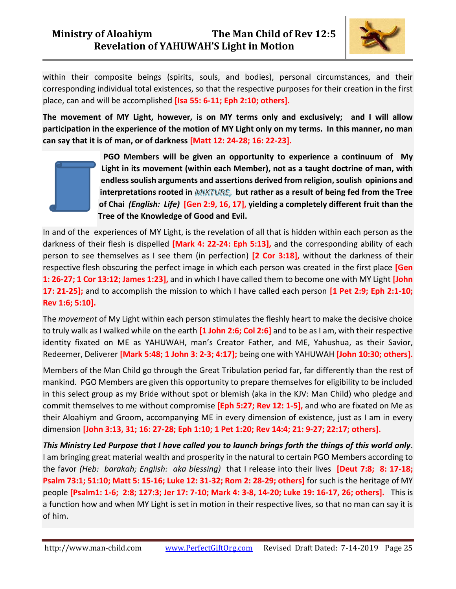

within their composite beings (spirits, souls, and bodies), personal circumstances, and their corresponding individual total existences, so that the respective purposes for their creation in the first place, can and will be accomplished **[Isa 55: 6-11; Eph 2:10; others].**

**The movement of MY Light, however, is on MY terms only and exclusively; and I will allow participation in the experience of the motion of MY Light only on my terms. In this manner, no man can say that it is of man, or of darkness [Matt 12: 24-28; 16: 22-23].** 



**PGO Members will be given an opportunity to experience a continuum of My Light in its movement (within each Member), not as a taught doctrine of man, with endless soulish arguments and assertions derived from religion, soulish opinions and**  interpretations rooted in *MIXTURE*, but rather as a result of being fed from the Tree **of Chai** *(English: Life)* **[Gen 2:9, 16, 17], yielding a completely different fruit than the Tree of the Knowledge of Good and Evil.**

In and of the experiences of MY Light, is the revelation of all that is hidden within each person as the darkness of their flesh is dispelled **[Mark 4: 22-24: Eph 5:13],** and the corresponding ability of each person to see themselves as I see them (in perfection) **[2 Cor 3:18],** without the darkness of their respective flesh obscuring the perfect image in which each person was created in the first place **[Gen 1: 26-27; 1 Cor 13:12; James 1:23],** and in which I have called them to become one with MY Light **[John 17: 21-25];** and to accomplish the mission to which I have called each person **[1 Pet 2:9; Eph 2:1-10; Rev 1:6; 5:10].** 

The *movement* of My Light within each person stimulates the fleshly heart to make the decisive choice to truly walk as I walked while on the earth **[1 John 2:6; Col 2:6]** and to be as I am, with their respective identity fixated on ME as YAHUWAH, man's Creator Father, and ME, Yahushua, as their Savior, Redeemer, Deliverer **[Mark 5:48; 1 John 3: 2-3; 4:17];** being one with YAHUWAH **[John 10:30; others].** 

Members of the Man Child go through the Great Tribulation period far, far differently than the rest of mankind. PGO Members are given this opportunity to prepare themselves for eligibility to be included in this select group as my Bride without spot or blemish (aka in the KJV: Man Child) who pledge and commit themselves to me without compromise **[Eph 5:27; Rev 12: 1-5],** and who are fixated on Me as their Aloahiym and Groom, accompanying ME in every dimension of existence, just as I am in every dimension **[John 3:13, 31; 16: 27-28; Eph 1:10; 1 Pet 1:20; Rev 14:4; 21: 9-27; 22:17; others].**

*This Ministry Led Purpose that I have called you to launch brings forth the things of this world only*. I am bringing great material wealth and prosperity in the natural to certain PGO Members according to the favor *(Heb: barakah; English: aka blessing)* that I release into their lives **[Deut 7:8; 8: 17-18; Psalm 73:1; 51:10; Matt 5: 15-16; Luke 12: 31-32; Rom 2: 28-29; others]** for such is the heritage of MY people **[Psalm1: 1-6; 2:8; 127:3; Jer 17: 7-10; Mark 4: 3-8, 14-20; Luke 19: 16-17, 26; others].** This is a function how and when MY Light is set in motion in their respective lives, so that no man can say it is of him.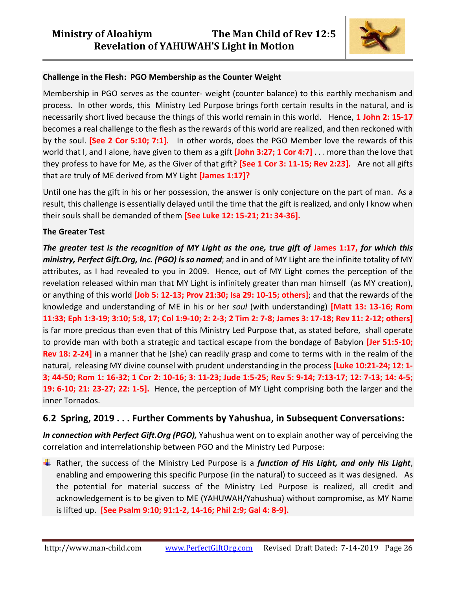

#### **Challenge in the Flesh: PGO Membership as the Counter Weight**

Membership in PGO serves as the counter- weight (counter balance) to this earthly mechanism and process. In other words, this Ministry Led Purpose brings forth certain results in the natural, and is necessarily short lived because the things of this world remain in this world. Hence, **1 John 2: 15-17** becomes a real challenge to the flesh as the rewards of this world are realized, and then reckoned with by the soul. **[See 2 Cor 5:10; 7:1].** In other words, does the PGO Member love the rewards of this world that I, and I alone, have given to them as a gift **[John 3:27; 1 Cor 4:7]** . . . more than the love that they profess to have for Me, as the Giver of that gift? **[See 1 Cor 3: 11-15; Rev 2:23].** Are not all gifts that are truly of ME derived from MY Light **[James 1:17]?** 

Until one has the gift in his or her possession, the answer is only conjecture on the part of man. As a result, this challenge is essentially delayed until the time that the gift is realized, and only I know when their souls shall be demanded of them **[See Luke 12: 15-21; 21: 34-36].**

#### **The Greater Test**

*The greater test is the recognition of MY Light as the one, true gift of* **James 1:17,** *for which this ministry, Perfect Gift.Org, Inc. (PGO) is so named*; and in and of MY Light are the infinite totality of MY attributes, as I had revealed to you in 2009. Hence, out of MY Light comes the perception of the revelation released within man that MY Light is infinitely greater than man himself (as MY creation), or anything of this world **[Job 5: 12-13; Prov 21:30; Isa 29: 10-15; others]**; and that the rewards of the knowledge and understanding of ME in his or her *soul* (with understanding) **[Matt 13: 13-16; Rom 11:33; Eph 1:3-19; 3:10; 5:8, 17; Col 1:9-10; 2: 2-3; 2 Tim 2: 7-8; James 3: 17-18; Rev 11: 2-12; others]**  is far more precious than even that of this Ministry Led Purpose that, as stated before, shall operate to provide man with both a strategic and tactical escape from the bondage of Babylon **[Jer 51:5-10; Rev 18: 2-24]** in a manner that he (she) can readily grasp and come to terms with in the realm of the natural, releasing MY divine counsel with prudent understanding in the process **[Luke 10:21-24; 12: 1- 3; 44-50; Rom 1: 16-32; 1 Cor 2: 10-16; 3: 11-23; Jude 1:5-25; Rev 5: 9-14; 7:13-17; 12: 7-13; 14: 4-5; 19: 6-10; 21: 23-27; 22: 1-5].** Hence, the perception of MY Light comprising both the larger and the inner Tornados.

### **6.2 Spring, 2019 . . . Further Comments by Yahushua, in Subsequent Conversations:**

*In connection with Perfect Gift.Org (PGO),* Yahushua went on to explain another way of perceiving the correlation and interrelationship between PGO and the Ministry Led Purpose:

Rather, the success of the Ministry Led Purpose is a *function of His Light, and only His Light*, enabling and empowering this specific Purpose (in the natural) to succeed as it was designed. As the potential for material success of the Ministry Led Purpose is realized, all credit and acknowledgement is to be given to ME (YAHUWAH/Yahushua) without compromise, as MY Name is lifted up. **[See Psalm 9:10; 91:1-2, 14-16; Phil 2:9; Gal 4: 8-9].**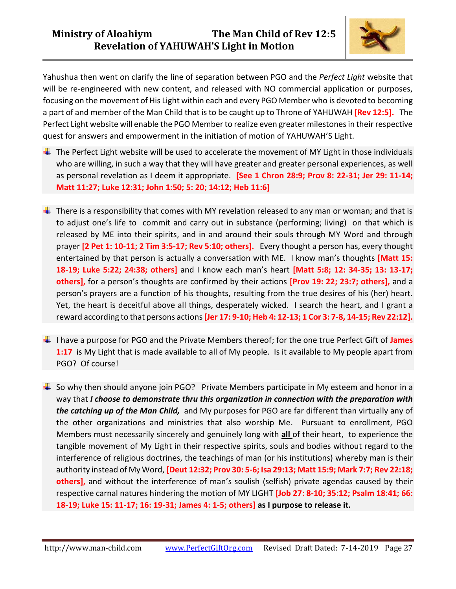

Yahushua then went on clarify the line of separation between PGO and the *Perfect Light* website that will be re-engineered with new content, and released with NO commercial application or purposes, focusing on the movement of His Light within each and every PGO Member who is devoted to becoming a part of and member of the Man Child that is to be caught up to Throne of YAHUWAH **[Rev 12:5].** The Perfect Light website will enable the PGO Member to realize even greater milestones in their respective quest for answers and empowerment in the initiation of motion of YAHUWAH'S Light.

- $\ddot{\phantom{1}}$  The Perfect Light website will be used to accelerate the movement of MY Light in those individuals who are willing, in such a way that they will have greater and greater personal experiences, as well as personal revelation as I deem it appropriate. **[See 1 Chron 28:9; Prov 8: 22-31; Jer 29: 11-14; Matt 11:27; Luke 12:31; John 1:50; 5: 20; 14:12; Heb 11:6]**
- $\pm$  There is a responsibility that comes with MY revelation released to any man or woman; and that is to adjust one's life to commit and carry out in substance (performing; living) on that which is released by ME into their spirits, and in and around their souls through MY Word and through prayer **[2 Pet 1: 10-11; 2 Tim 3:5-17; Rev 5:10; others].** Every thought a person has, every thought entertained by that person is actually a conversation with ME. I know man's thoughts **[Matt 15: 18-19; Luke 5:22; 24:38; others]** and I know each man's heart **[Matt 5:8; 12: 34-35; 13: 13-17; others],** for a person's thoughts are confirmed by their actions **[Prov 19: 22; 23:7; others],** and a person's prayers are a function of his thoughts, resulting from the true desires of his (her) heart. Yet, the heart is deceitful above all things, desperately wicked. I search the heart, and I grant a reward according to that persons actions **[Jer 17: 9-10; Heb 4: 12-13; 1 Cor 3: 7-8, 14-15; Rev 22:12].**
- I have a purpose for PGO and the Private Members thereof; for the one true Perfect Gift of **James 1:17** is My Light that is made available to all of My people. Is it available to My people apart from PGO? Of course!
- $\frac{1}{2}$  So why then should anyone join PGO? Private Members participate in My esteem and honor in a way that *I choose to demonstrate thru this organization in connection with the preparation with the catching up of the Man Child,* and My purposes for PGO are far different than virtually any of the other organizations and ministries that also worship Me. Pursuant to enrollment, PGO Members must necessarily sincerely and genuinely long with **all** of their heart, to experience the tangible movement of My Light in their respective spirits, souls and bodies without regard to the interference of religious doctrines, the teachings of man (or his institutions) whereby man is their authority instead of My Word, **[Deut 12:32; Prov 30: 5-6; Isa 29:13; Matt 15:9; Mark 7:7; Rev 22:18; others],** and without the interference of man's soulish (selfish) private agendas caused by their respective carnal natures hindering the motion of MY LIGHT **[Job 27: 8-10; 35:12; Psalm 18:41; 66: 18-19; Luke 15: 11-17; 16: 19-31; James 4: 1-5; others] as I purpose to release it.**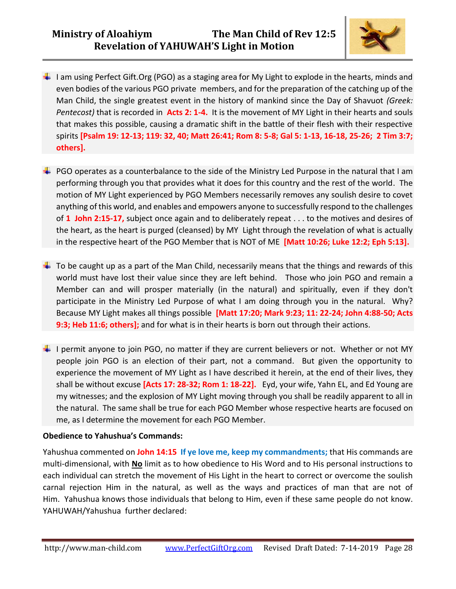

- $\downarrow$  I am using Perfect Gift.Org (PGO) as a staging area for My Light to explode in the hearts, minds and even bodies of the various PGO private members, and for the preparation of the catching up of the Man Child, the single greatest event in the history of mankind since the Day of Shavuot *(Greek: Pentecost)* that is recorded in **Acts 2: 1-4.** It is the movement of MY Light in their hearts and souls that makes this possible, causing a dramatic shift in the battle of their flesh with their respective spirits **[Psalm 19: 12-13; 119: 32, 40; Matt 26:41; Rom 8: 5-8; Gal 5: 1-13, 16-18, 25-26; 2 Tim 3:7; others].**
- $\downarrow$  PGO operates as a counterbalance to the side of the Ministry Led Purpose in the natural that I am performing through you that provides what it does for this country and the rest of the world. The motion of MY Light experienced by PGO Members necessarily removes any soulish desire to covet anything of this world, and enables and empowers anyone to successfully respond to the challenges of **1 John 2:15-17,** subject once again and to deliberately repeat . . . to the motives and desires of the heart, as the heart is purged (cleansed) by MY Light through the revelation of what is actually in the respective heart of the PGO Member that is NOT of ME **[Matt 10:26; Luke 12:2; Eph 5:13].**
- $\downarrow$  To be caught up as a part of the Man Child, necessarily means that the things and rewards of this world must have lost their value since they are left behind. Those who join PGO and remain a Member can and will prosper materially (in the natural) and spiritually, even if they don't participate in the Ministry Led Purpose of what I am doing through you in the natural. Why? Because MY Light makes all things possible **[Matt 17:20; Mark 9:23; 11: 22-24; John 4:88-50; Acts 9:3; Heb 11:6; others];** and for what is in their hearts is born out through their actions.
- I permit anyone to join PGO, no matter if they are current believers or not. Whether or not MY people join PGO is an election of their part, not a command. But given the opportunity to experience the movement of MY Light as I have described it herein, at the end of their lives, they shall be without excuse **[Acts 17: 28-32; Rom 1: 18-22].** Eyd, your wife, Yahn EL, and Ed Young are my witnesses; and the explosion of MY Light moving through you shall be readily apparent to all in the natural. The same shall be true for each PGO Member whose respective hearts are focused on me, as I determine the movement for each PGO Member.

#### **Obedience to Yahushua's Commands:**

Yahushua commented on **John 14:15 If ye love me, keep my commandments;** that His commands are multi-dimensional, with **No** limit as to how obedience to His Word and to His personal instructions to each individual can stretch the movement of His Light in the heart to correct or overcome the soulish carnal rejection Him in the natural, as well as the ways and practices of man that are not of Him. Yahushua knows those individuals that belong to Him, even if these same people do not know. YAHUWAH/Yahushua further declared: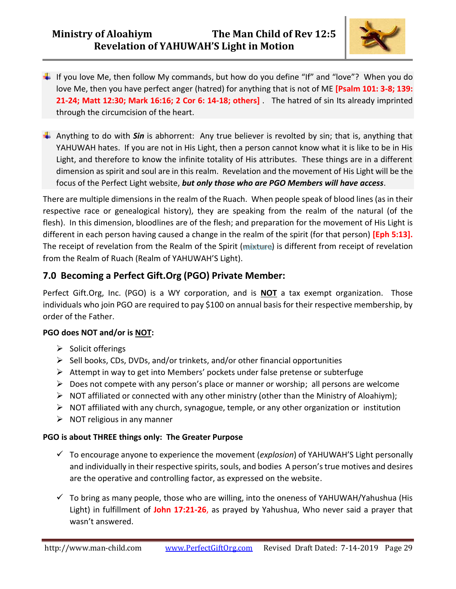

- $\downarrow$  If you love Me, then follow My commands, but how do you define "If" and "love"? When you do love Me, then you have perfect anger (hatred) for anything that is not of ME **[Psalm 101: 3-8; 139: 21-24; Matt 12:30; Mark 16:16; 2 Cor 6: 14-18; others]** . The hatred of sin Its already imprinted through the circumcision of the heart.
- Anything to do with **Sin** is abhorrent: Any true believer is revolted by sin; that is, anything that YAHUWAH hates. If you are not in His Light, then a person cannot know what it is like to be in His Light, and therefore to know the infinite totality of His attributes. These things are in a different dimension as spirit and soul are in this realm. Revelation and the movement of His Light will be the focus of the Perfect Light website, *but only those who are PGO Members will have access*.

There are multiple dimensions in the realm of the Ruach. When people speak of blood lines (as in their respective race or genealogical history), they are speaking from the realm of the natural (of the flesh). In this dimension, bloodlines are of the flesh; and preparation for the movement of His Light is different in each person having caused a change in the realm of the spirit (for that person) **[Eph 5:13].** The receipt of revelation from the Realm of the Spirit (mixture) is different from receipt of revelation from the Realm of Ruach (Realm of YAHUWAH'S Light).

## **7.0 Becoming a Perfect Gift.Org (PGO) Private Member:**

Perfect Gift.Org, Inc. (PGO) is a WY corporation, and is **NOT** a tax exempt organization. Those individuals who join PGO are required to pay \$100 on annual basis for their respective membership, by order of the Father.

### **PGO does NOT and/or is NOT:**

- ➢ Solicit offerings
- $\triangleright$  Sell books, CDs, DVDs, and/or trinkets, and/or other financial opportunities
- $\triangleright$  Attempt in way to get into Members' pockets under false pretense or subterfuge
- $\triangleright$  Does not compete with any person's place or manner or worship; all persons are welcome
- $\triangleright$  NOT affiliated or connected with any other ministry (other than the Ministry of Aloahiym);
- $\triangleright$  NOT affiliated with any church, synagogue, temple, or any other organization or institution
- $\triangleright$  NOT religious in any manner

### **PGO is about THREE things only: The Greater Purpose**

- ✓ To encourage anyone to experience the movement (*explosion*) of YAHUWAH'S Light personally and individually in their respective spirits, souls, and bodies A person's true motives and desires are the operative and controlling factor, as expressed on the website.
- $\checkmark$  To bring as many people, those who are willing, into the oneness of YAHUWAH/Yahushua (His Light) in fulfillment of **John 17:21-26**, as prayed by Yahushua, Who never said a prayer that wasn't answered.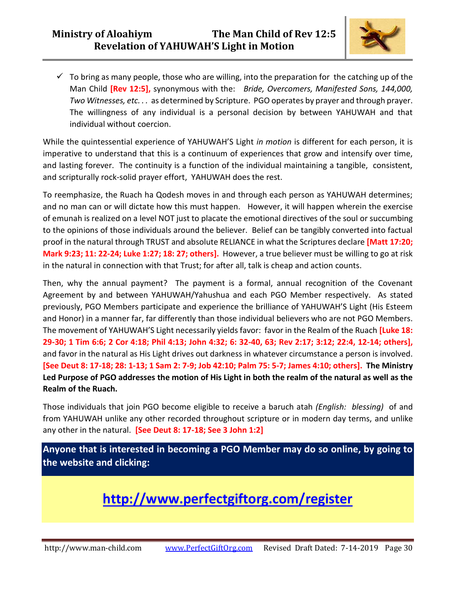

 $\checkmark$  To bring as many people, those who are willing, into the preparation for the catching up of the Man Child **[Rev 12:5],** synonymous with the: *Bride, Overcomers, Manifested Sons, 144,000, Two Witnesses, etc. . .* as determined by Scripture. PGO operates by prayer and through prayer. The willingness of any individual is a personal decision by between YAHUWAH and that individual without coercion.

While the quintessential experience of YAHUWAH'S Light *in motion* is different for each person, it is imperative to understand that this is a continuum of experiences that grow and intensify over time, and lasting forever. The continuity is a function of the individual maintaining a tangible, consistent, and scripturally rock-solid prayer effort, YAHUWAH does the rest.

To reemphasize, the Ruach ha Qodesh moves in and through each person as YAHUWAH determines; and no man can or will dictate how this must happen. However, it will happen wherein the exercise of emunah is realized on a level NOT just to placate the emotional directives of the soul or succumbing to the opinions of those individuals around the believer. Belief can be tangibly converted into factual proof in the natural through TRUST and absolute RELIANCE in what the Scriptures declare **[Matt 17:20; Mark 9:23; 11: 22-24; Luke 1:27; 18: 27; others].** However, a true believer must be willing to go at risk in the natural in connection with that Trust; for after all, talk is cheap and action counts.

Then, why the annual payment? The payment is a formal, annual recognition of the Covenant Agreement by and between YAHUWAH/Yahushua and each PGO Member respectively. As stated previously, PGO Members participate and experience the brilliance of YAHUWAH'S Light (His Esteem and Honor) in a manner far, far differently than those individual believers who are not PGO Members. The movement of YAHUWAH'S Light necessarily yields favor: favor in the Realm of the Ruach **[Luke 18: 29-30; 1 Tim 6:6; 2 Cor 4:18; Phil 4:13; John 4:32; 6: 32-40, 63; Rev 2:17; 3:12; 22:4, 12-14; others],** and favor in the natural as His Light drives out darkness in whatever circumstance a person is involved. **[See Deut 8: 17-18; 28: 1-13; 1 Sam 2: 7-9; Job 42:10; Palm 75: 5-7; James 4:10; others]. The Ministry Led Purpose of PGO addresses the motion of His Light in both the realm of the natural as well as the Realm of the Ruach.** 

Those individuals that join PGO become eligible to receive a baruch atah *(English: blessing)* of and from YAHUWAH unlike any other recorded throughout scripture or in modern day terms, and unlike any other in the natural. **[See Deut 8: 17-18; See 3 John 1:2]**

**Anyone that is interested in becoming a PGO Member may do so online, by going to the website and clicking:** 

# **<http://www.perfectgiftorg.com/register>**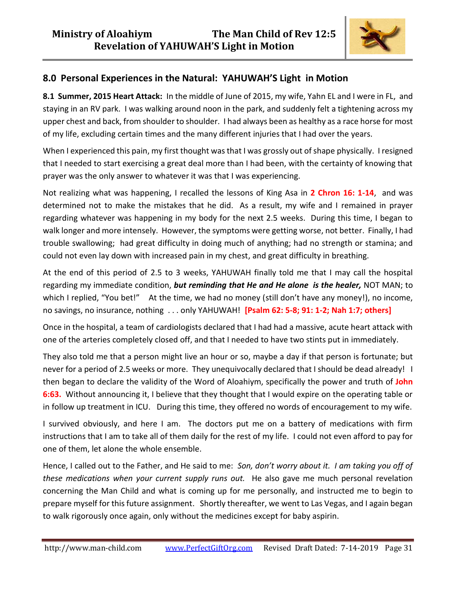

## **8.0 Personal Experiences in the Natural: YAHUWAH'S Light in Motion**

**8.1 Summer, 2015 Heart Attack:** In the middle of June of 2015, my wife, Yahn EL and I were in FL, and staying in an RV park. I was walking around noon in the park, and suddenly felt a tightening across my upper chest and back, from shoulder to shoulder. I had always been as healthy as a race horse for most of my life, excluding certain times and the many different injuries that I had over the years.

When I experienced this pain, my first thought was that I was grossly out of shape physically. I resigned that I needed to start exercising a great deal more than I had been, with the certainty of knowing that prayer was the only answer to whatever it was that I was experiencing.

Not realizing what was happening, I recalled the lessons of King Asa in **2 Chron 16: 1-14**, and was determined not to make the mistakes that he did. As a result, my wife and I remained in prayer regarding whatever was happening in my body for the next 2.5 weeks. During this time, I began to walk longer and more intensely. However, the symptoms were getting worse, not better. Finally, I had trouble swallowing; had great difficulty in doing much of anything; had no strength or stamina; and could not even lay down with increased pain in my chest, and great difficulty in breathing.

At the end of this period of 2.5 to 3 weeks, YAHUWAH finally told me that I may call the hospital regarding my immediate condition, *but reminding that He and He alone is the healer,* NOT MAN; to which I replied, "You bet!" At the time, we had no money (still don't have any money!), no income, no savings, no insurance, nothing . . . only YAHUWAH! **[Psalm 62: 5-8; 91: 1-2; Nah 1:7; others]**

Once in the hospital, a team of cardiologists declared that I had had a massive, acute heart attack with one of the arteries completely closed off, and that I needed to have two stints put in immediately.

They also told me that a person might live an hour or so, maybe a day if that person is fortunate; but never for a period of 2.5 weeks or more. They unequivocally declared that I should be dead already! I then began to declare the validity of the Word of Aloahiym, specifically the power and truth of **John 6:63.** Without announcing it, I believe that they thought that I would expire on the operating table or in follow up treatment in ICU. During this time, they offered no words of encouragement to my wife.

I survived obviously, and here I am. The doctors put me on a battery of medications with firm instructions that I am to take all of them daily for the rest of my life. I could not even afford to pay for one of them, let alone the whole ensemble.

Hence, I called out to the Father, and He said to me: *Son, don't worry about it. I am taking you off of these medications when your current supply runs out.* He also gave me much personal revelation concerning the Man Child and what is coming up for me personally, and instructed me to begin to prepare myself for this future assignment. Shortly thereafter, we went to Las Vegas, and I again began to walk rigorously once again, only without the medicines except for baby aspirin.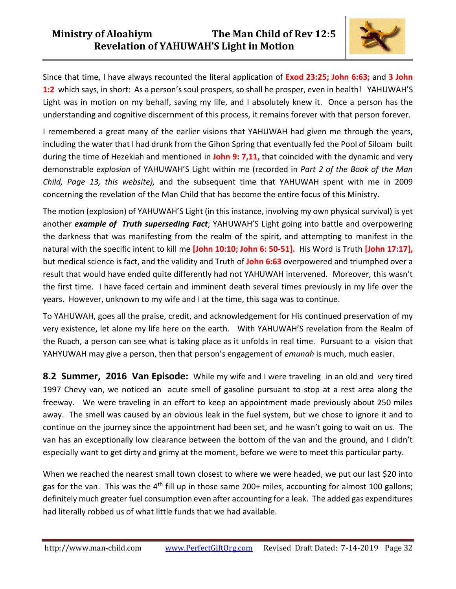

Since that time, I have always recounted the literal application of **Exod 23:25; John 6:63;** and **3 John 1:2** which says, in short: As a person's soul prospers, so shall he prosper, even in health! YAHUWAH'S Light was in motion on my behalf, saving my life, and I absolutely knew it. Once a person has the understanding and cognitive discernment of this process, it remains forever with that person forever.

I remembered a great many of the earlier visions that YAHUWAH had given me through the years, including the water that I had drunk from the Gihon Spring that eventually fed the Pool of Siloam built during the time of Hezekiah and mentioned in **John 9: 7,11,** that coincided with the dynamic and very demonstrable *explosion* of YAHUWAH'S Light within me (recorded in *Part 2 of the Book of the Man Child, Page 13, this website),* and the subsequent time that YAHUWAH spent with me in 2009 concerning the revelation of the Man Child that has become the entire focus of this Ministry.

The motion (explosion) of YAHUWAH'S Light (in this instance, involving my own physical survival) is yet another *example of Truth superseding Fact*; YAHUWAH'S Light going into battle and overpowering the darkness that was manifesting from the realm of the spirit, and attempting to manifest in the natural with the specific intent to kill me **[John 10:10; John 6: 50-51].** His Word is Truth **[John 17:17],**  but medical science is fact, and the validity and Truth of **John 6:63** overpowered and triumphed over a result that would have ended quite differently had not YAHUWAH intervened. Moreover, this wasn't the first time. I have faced certain and imminent death several times previously in my life over the years. However, unknown to my wife and I at the time, this saga was to continue.

To YAHUWAH, goes all the praise, credit, and acknowledgement for His continued preservation of my very existence, let alone my life here on the earth. With YAHUWAH'S revelation from the Realm of the Ruach, a person can see what is taking place as it unfolds in real time. Pursuant to a vision that YAHYUWAH may give a person, then that person's engagement of *emunah* is much, much easier.

**8.2 Summer, 2016 Van Episode:** While my wife and I were traveling in an old and very tired 1997 Chevy van, we noticed an acute smell of gasoline pursuant to stop at a rest area along the freeway. We were traveling in an effort to keep an appointment made previously about 250 miles away. The smell was caused by an obvious leak in the fuel system, but we chose to ignore it and to continue on the journey since the appointment had been set, and he wasn't going to wait on us. The van has an exceptionally low clearance between the bottom of the van and the ground, and I didn't especially want to get dirty and grimy at the moment, before we were to meet this particular party.

When we reached the nearest small town closest to where we were headed, we put our last \$20 into gas for the van. This was the 4<sup>th</sup> fill up in those same 200+ miles, accounting for almost 100 gallons; definitely much greater fuel consumption even after accounting for a leak. The added gas expenditures had literally robbed us of what little funds that we had available.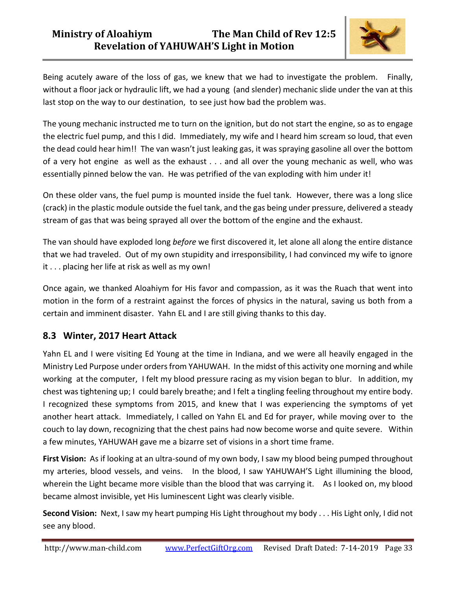## **Ministry of Aloahiym The Man Child of Rev 12:5 Revelation of YAHUWAH'S Light in Motion**



Being acutely aware of the loss of gas, we knew that we had to investigate the problem. Finally, without a floor jack or hydraulic lift, we had a young (and slender) mechanic slide under the van at this last stop on the way to our destination, to see just how bad the problem was.

The young mechanic instructed me to turn on the ignition, but do not start the engine, so as to engage the electric fuel pump, and this I did. Immediately, my wife and I heard him scream so loud, that even the dead could hear him!! The van wasn't just leaking gas, it was spraying gasoline all over the bottom of a very hot engine as well as the exhaust . . . and all over the young mechanic as well, who was essentially pinned below the van. He was petrified of the van exploding with him under it!

On these older vans, the fuel pump is mounted inside the fuel tank. However, there was a long slice (crack) in the plastic module outside the fuel tank, and the gas being under pressure, delivered a steady stream of gas that was being sprayed all over the bottom of the engine and the exhaust.

The van should have exploded long *before* we first discovered it, let alone all along the entire distance that we had traveled. Out of my own stupidity and irresponsibility, I had convinced my wife to ignore it . . . placing her life at risk as well as my own!

Once again, we thanked Aloahiym for His favor and compassion, as it was the Ruach that went into motion in the form of a restraint against the forces of physics in the natural, saving us both from a certain and imminent disaster. Yahn EL and I are still giving thanks to this day.

## **8.3 Winter, 2017 Heart Attack**

Yahn EL and I were visiting Ed Young at the time in Indiana, and we were all heavily engaged in the Ministry Led Purpose under orders from YAHUWAH. In the midst of this activity one morning and while working at the computer, I felt my blood pressure racing as my vision began to blur. In addition, my chest was tightening up; I could barely breathe; and I felt a tingling feeling throughout my entire body. I recognized these symptoms from 2015, and knew that I was experiencing the symptoms of yet another heart attack. Immediately, I called on Yahn EL and Ed for prayer, while moving over to the couch to lay down, recognizing that the chest pains had now become worse and quite severe. Within a few minutes, YAHUWAH gave me a bizarre set of visions in a short time frame.

**First Vision:** As if looking at an ultra-sound of my own body, I saw my blood being pumped throughout my arteries, blood vessels, and veins. In the blood, I saw YAHUWAH'S Light illumining the blood, wherein the Light became more visible than the blood that was carrying it. As I looked on, my blood became almost invisible, yet His luminescent Light was clearly visible.

**Second Vision:** Next, I saw my heart pumping His Light throughout my body . . . His Light only, I did not see any blood.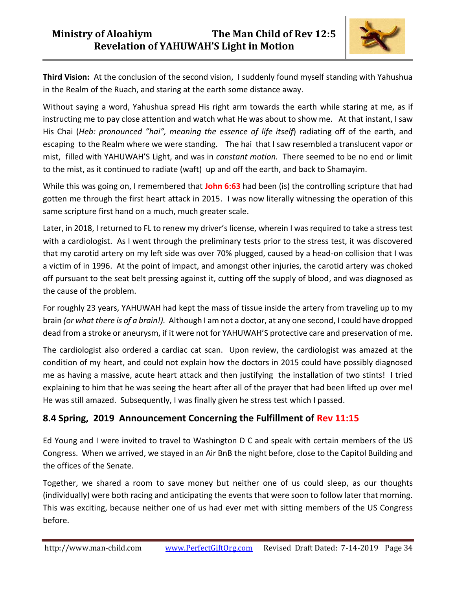

**Third Vision:** At the conclusion of the second vision, I suddenly found myself standing with Yahushua in the Realm of the Ruach, and staring at the earth some distance away.

Without saying a word, Yahushua spread His right arm towards the earth while staring at me, as if instructing me to pay close attention and watch what He was about to show me. At that instant, I saw His Chai (*Heb: pronounced "hai", meaning the essence of life itself*) radiating off of the earth, and escaping to the Realm where we were standing. The hai that I saw resembled a translucent vapor or mist, filled with YAHUWAH'S Light, and was in *constant motion.* There seemed to be no end or limit to the mist, as it continued to radiate (waft) up and off the earth, and back to Shamayim.

While this was going on, I remembered that **John 6:63** had been (is) the controlling scripture that had gotten me through the first heart attack in 2015. I was now literally witnessing the operation of this same scripture first hand on a much, much greater scale.

Later, in 2018, I returned to FL to renew my driver's license, wherein I was required to take a stress test with a cardiologist. As I went through the preliminary tests prior to the stress test, it was discovered that my carotid artery on my left side was over 70% plugged, caused by a head-on collision that I was a victim of in 1996. At the point of impact, and amongst other injuries, the carotid artery was choked off pursuant to the seat belt pressing against it, cutting off the supply of blood, and was diagnosed as the cause of the problem.

For roughly 23 years, YAHUWAH had kept the mass of tissue inside the artery from traveling up to my brain *(or what there is of a brain!).* Although I am not a doctor, at any one second, I could have dropped dead from a stroke or aneurysm, if it were not for YAHUWAH'S protective care and preservation of me.

The cardiologist also ordered a cardiac cat scan. Upon review, the cardiologist was amazed at the condition of my heart, and could not explain how the doctors in 2015 could have possibly diagnosed me as having a massive, acute heart attack and then justifying the installation of two stints! I tried explaining to him that he was seeing the heart after all of the prayer that had been lifted up over me! He was still amazed. Subsequently, I was finally given he stress test which I passed.

## **8.4 Spring, 2019 Announcement Concerning the Fulfillment of Rev 11:15**

Ed Young and I were invited to travel to Washington D C and speak with certain members of the US Congress. When we arrived, we stayed in an Air BnB the night before, close to the Capitol Building and the offices of the Senate.

Together, we shared a room to save money but neither one of us could sleep, as our thoughts (individually) were both racing and anticipating the events that were soon to follow later that morning. This was exciting, because neither one of us had ever met with sitting members of the US Congress before.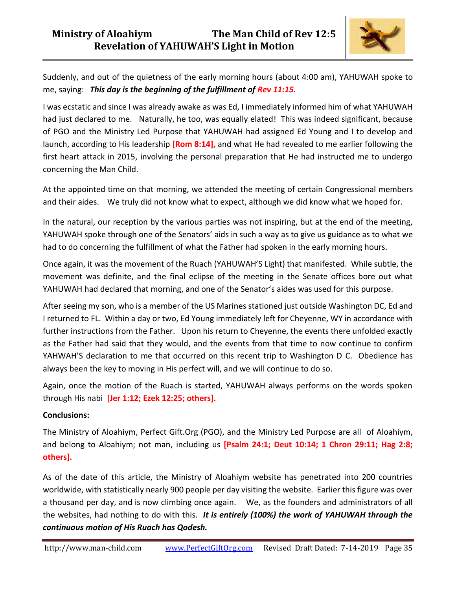

Suddenly, and out of the quietness of the early morning hours (about 4:00 am), YAHUWAH spoke to me, saying: *This day is the beginning of the fulfillment of Rev 11:15.* 

I was ecstatic and since I was already awake as was Ed, I immediately informed him of what YAHUWAH had just declared to me. Naturally, he too, was equally elated! This was indeed significant, because of PGO and the Ministry Led Purpose that YAHUWAH had assigned Ed Young and I to develop and launch, according to His leadership **[Rom 8:14],** and what He had revealed to me earlier following the first heart attack in 2015, involving the personal preparation that He had instructed me to undergo concerning the Man Child.

At the appointed time on that morning, we attended the meeting of certain Congressional members and their aides. We truly did not know what to expect, although we did know what we hoped for.

In the natural, our reception by the various parties was not inspiring, but at the end of the meeting, YAHUWAH spoke through one of the Senators' aids in such a way as to give us guidance as to what we had to do concerning the fulfillment of what the Father had spoken in the early morning hours.

Once again, it was the movement of the Ruach (YAHUWAH'S Light) that manifested. While subtle, the movement was definite, and the final eclipse of the meeting in the Senate offices bore out what YAHUWAH had declared that morning, and one of the Senator's aides was used for this purpose.

After seeing my son, who is a member of the US Marines stationed just outside Washington DC, Ed and I returned to FL. Within a day or two, Ed Young immediately left for Cheyenne, WY in accordance with further instructions from the Father. Upon his return to Cheyenne, the events there unfolded exactly as the Father had said that they would, and the events from that time to now continue to confirm YAHWAH'S declaration to me that occurred on this recent trip to Washington D C. Obedience has always been the key to moving in His perfect will, and we will continue to do so.

Again, once the motion of the Ruach is started, YAHUWAH always performs on the words spoken through His nabi **[Jer 1:12; Ezek 12:25; others].**

### **Conclusions:**

The Ministry of Aloahiym, Perfect Gift.Org (PGO), and the Ministry Led Purpose are all of Aloahiym, and belong to Aloahiym; not man, including us **[Psalm 24:1; Deut 10:14; 1 Chron 29:11; Hag 2:8; others].**

As of the date of this article, the Ministry of Aloahiym website has penetrated into 200 countries worldwide, with statistically nearly 900 people per day visiting the website. Earlier this figure was over a thousand per day, and is now climbing once again. We, as the founders and administrators of all the websites, had nothing to do with this. *It is entirely (100%) the work of YAHUWAH through the continuous motion of His Ruach has Qodesh.*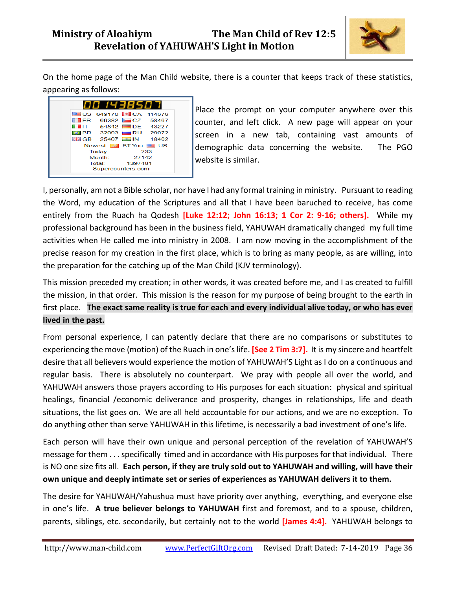

On the home page of the Man Child website, there is a counter that keeps track of these statistics, appearing as follows:

|        | <b>FR 66382 CZ 58467</b>   |                                                                                                                                     |  |
|--------|----------------------------|-------------------------------------------------------------------------------------------------------------------------------------|--|
|        |                            |                                                                                                                                     |  |
|        | <b>THE 54842 THE 43227</b> |                                                                                                                                     |  |
|        |                            |                                                                                                                                     |  |
|        |                            |                                                                                                                                     |  |
|        |                            |                                                                                                                                     |  |
| Today: |                            | 233                                                                                                                                 |  |
| Month: |                            | 27142                                                                                                                               |  |
|        |                            |                                                                                                                                     |  |
|        |                            | <b>BR</b> 32093 RU 29072<br><b>EHEIGB</b> 25407 <b>PM</b> IN 18402<br>Newest: 3 BT You: E US<br>Total: 1397481<br>Supercounters.com |  |

Place the prompt on your computer anywhere over this counter, and left click. A new page will appear on your screen in a new tab, containing vast amounts of demographic data concerning the website. The PGO website is similar.

I, personally, am not a Bible scholar, nor have I had any formal training in ministry. Pursuant to reading the Word, my education of the Scriptures and all that I have been baruched to receive, has come entirely from the Ruach ha Qodesh **[Luke 12:12; John 16:13; 1 Cor 2: 9-16; others].** While my professional background has been in the business field, YAHUWAH dramatically changed my full time activities when He called me into ministry in 2008. I am now moving in the accomplishment of the precise reason for my creation in the first place, which is to bring as many people, as are willing, into the preparation for the catching up of the Man Child (KJV terminology).

This mission preceded my creation; in other words, it was created before me, and I as created to fulfill the mission, in that order. This mission is the reason for my purpose of being brought to the earth in first place. **The exact same reality is true for each and every individual alive today, or who has ever lived in the past.** 

From personal experience, I can patently declare that there are no comparisons or substitutes to experiencing the move (motion) of the Ruach in one's life. **[See 2 Tim 3:7].** It is my sincere and heartfelt desire that all believers would experience the motion of YAHUWAH'S Light as I do on a continuous and regular basis. There is absolutely no counterpart. We pray with people all over the world, and YAHUWAH answers those prayers according to His purposes for each situation: physical and spiritual healings, financial /economic deliverance and prosperity, changes in relationships, life and death situations, the list goes on. We are all held accountable for our actions, and we are no exception. To do anything other than serve YAHUWAH in this lifetime, is necessarily a bad investment of one's life.

Each person will have their own unique and personal perception of the revelation of YAHUWAH'S message for them . . . specifically timed and in accordance with His purposes for that individual. There is NO one size fits all. **Each person, if they are truly sold out to YAHUWAH and willing, will have their own unique and deeply intimate set or series of experiences as YAHUWAH delivers it to them.** 

The desire for YAHUWAH/Yahushua must have priority over anything, everything, and everyone else in one's life. **A true believer belongs to YAHUWAH** first and foremost, and to a spouse, children, parents, siblings, etc. secondarily, but certainly not to the world **[James 4:4].** YAHUWAH belongs to